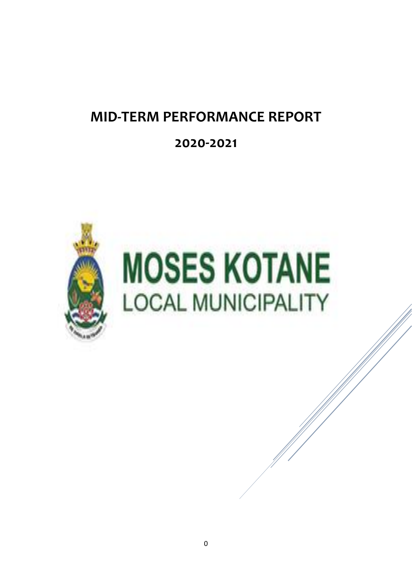# **MID-TERM PERFORMANCE REPORT**

# **2020-2021**

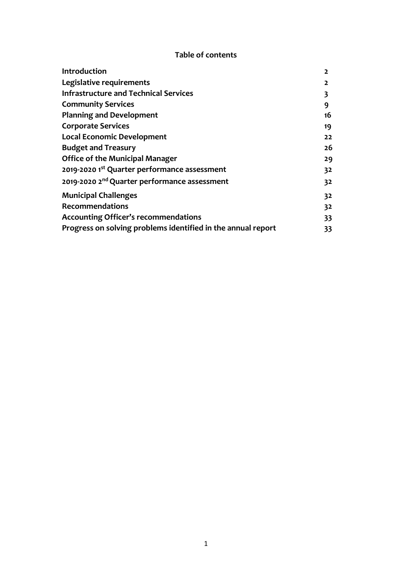#### **Table of contents**

| Introduction                                                 | 2              |
|--------------------------------------------------------------|----------------|
| Legislative requirements                                     | $\overline{2}$ |
| <b>Infrastructure and Technical Services</b>                 | 3              |
| <b>Community Services</b>                                    | 9              |
| <b>Planning and Development</b>                              | 16             |
| <b>Corporate Services</b>                                    | 19             |
| <b>Local Economic Development</b>                            | 22             |
| <b>Budget and Treasury</b>                                   | 26             |
| <b>Office of the Municipal Manager</b>                       | 29             |
| 2019-2020 1st Quarter performance assessment                 | 32             |
| 2019-2020 2 <sup>nd</sup> Quarter performance assessment     | 32             |
| <b>Municipal Challenges</b>                                  | 32             |
| <b>Recommendations</b>                                       | 32             |
| <b>Accounting Officer's recommendations</b>                  | 33             |
| Progress on solving problems identified in the annual report | 33             |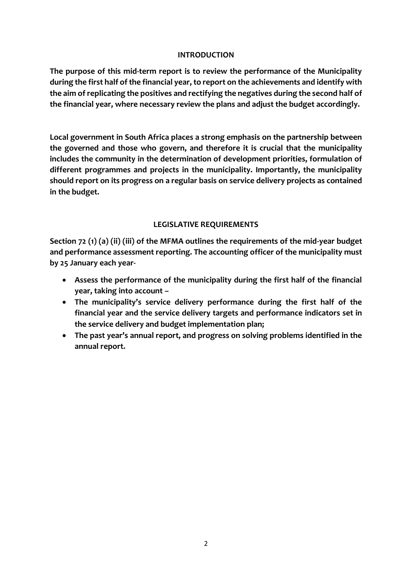#### **INTRODUCTION**

**The purpose of this mid-term report is to review the performance of the Municipality during the first half of the financial year, to report on the achievements and identify with the aim of replicating the positives and rectifying the negatives during the second half of the financial year, where necessary review the plans and adjust the budget accordingly.** 

**Local government in South Africa places a strong emphasis on the partnership between the governed and those who govern, and therefore it is crucial that the municipality includes the community in the determination of development priorities, formulation of different programmes and projects in the municipality. Importantly, the municipality should report on its progress on a regular basis on service delivery projects as contained in the budget.**

#### **LEGISLATIVE REQUIREMENTS**

**Section 72 (1) (a) (ii) (iii) of the MFMA outlines the requirements of the mid-year budget and performance assessment reporting. The accounting officer of the municipality must by 25 January each year-**

- **Assess the performance of the municipality during the first half of the financial year, taking into account –**
- **The municipality's service delivery performance during the first half of the financial year and the service delivery targets and performance indicators set in the service delivery and budget implementation plan;**
- **The past year's annual report, and progress on solving problems identified in the annual report.**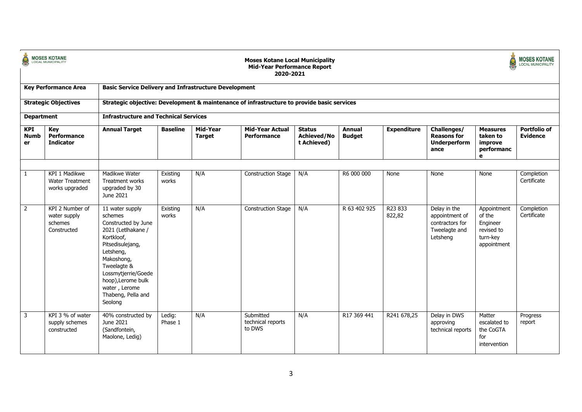| <b>Cal</b>                      | <b>MOSES KOTANE</b><br>LOCAL MUNICIPALITY                 |                                                                                                                                                                                                                                                    |                   |                           | <b>Moses Kotane Local Municipality</b><br><b>Mid-Year Performance Report</b><br>2020-2021 |                                             |                                |                    |                                                                                |                                                                            | <b>MOSES KOTANE</b><br><b>LOCAL MUNICIPALITY</b> |
|---------------------------------|-----------------------------------------------------------|----------------------------------------------------------------------------------------------------------------------------------------------------------------------------------------------------------------------------------------------------|-------------------|---------------------------|-------------------------------------------------------------------------------------------|---------------------------------------------|--------------------------------|--------------------|--------------------------------------------------------------------------------|----------------------------------------------------------------------------|--------------------------------------------------|
|                                 | <b>Key Performance Area</b>                               | <b>Basic Service Delivery and Infrastructure Development</b>                                                                                                                                                                                       |                   |                           |                                                                                           |                                             |                                |                    |                                                                                |                                                                            |                                                  |
|                                 | <b>Strategic Objectives</b>                               | Strategic objective: Development & maintenance of infrastructure to provide basic services                                                                                                                                                         |                   |                           |                                                                                           |                                             |                                |                    |                                                                                |                                                                            |                                                  |
| <b>Department</b>               |                                                           | <b>Infrastructure and Technical Services</b>                                                                                                                                                                                                       |                   |                           |                                                                                           |                                             |                                |                    |                                                                                |                                                                            |                                                  |
| <b>KPI</b><br><b>Numb</b><br>er | Key<br>Performance<br><b>Indicator</b>                    | <b>Annual Target</b>                                                                                                                                                                                                                               | <b>Baseline</b>   | Mid-Year<br><b>Target</b> | <b>Mid-Year Actual</b><br>Performance                                                     | <b>Status</b><br>Achieved/No<br>t Achieved) | <b>Annual</b><br><b>Budget</b> | <b>Expenditure</b> | Challenges/<br><b>Reasons for</b><br>Underperform<br>ance                      | <b>Measures</b><br>taken to<br>improve<br>performanc<br>e                  | <b>Portfolio of</b><br><b>Evidence</b>           |
|                                 |                                                           |                                                                                                                                                                                                                                                    |                   |                           |                                                                                           |                                             |                                |                    |                                                                                |                                                                            |                                                  |
| $\mathbf{1}$                    | KPI 1 Madikwe<br><b>Water Treatment</b><br>works upgraded | Madikwe Water<br>Treatment works<br>upgraded by 30<br>June 2021                                                                                                                                                                                    | Existing<br>works | N/A                       | <b>Construction Stage</b>                                                                 | N/A                                         | R6 000 000                     | None               | None                                                                           | None                                                                       | Completion<br>Certificate                        |
| $\overline{2}$                  | KPI 2 Number of<br>water supply<br>schemes<br>Constructed | 11 water supply<br>schemes<br>Constructed by June<br>2021 (Letlhakane /<br>Kortkloof,<br>Pitsedisulejang,<br>Letsheng,<br>Makoshong,<br>Tweelagte &<br>Lossmytjerrie/Goede<br>hoop), Lerome bulk<br>water, Lerome<br>Thabeng, Pella and<br>Seolong | Existing<br>works | N/A                       | <b>Construction Stage</b>                                                                 | N/A                                         | R 63 402 925                   | R23 833<br>822,82  | Delay in the<br>appointment of<br>contractors for<br>Tweelagte and<br>Letsheng | Appointment<br>of the<br>Engineer<br>revised to<br>turn-key<br>appointment | Completion<br>Certificate                        |
| $\overline{3}$                  | KPI 3 % of water<br>supply schemes<br>constructed         | 40% constructed by<br>June 2021<br>(Sandfontein,<br>Maolone, Ledig)                                                                                                                                                                                | Ledig:<br>Phase 1 | N/A                       | Submitted<br>technical reports<br>to DWS                                                  | N/A                                         | R17 369 441                    | R241 678,25        | Delay in DWS<br>approving<br>technical reports                                 | Matter<br>escalated to<br>the CoGTA<br>for<br>intervention                 | Progress<br>report                               |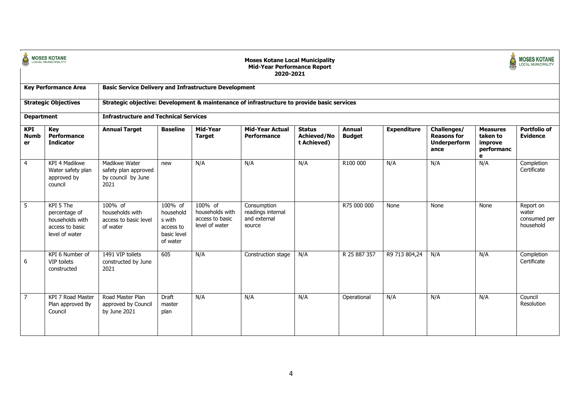| d.                              | <b>MOSES KOTANE</b>                                                                |                                                                                            |                                                                        |                                                                 | <b>Moses Kotane Local Municipality</b><br><b>Mid-Year Performance Report</b><br>2020-2021 |                                                    |                                |                    |                                                                  |                                                           | <b>MOSES KOTANE</b><br><b>LOCAL MUNICIPALITY</b> |
|---------------------------------|------------------------------------------------------------------------------------|--------------------------------------------------------------------------------------------|------------------------------------------------------------------------|-----------------------------------------------------------------|-------------------------------------------------------------------------------------------|----------------------------------------------------|--------------------------------|--------------------|------------------------------------------------------------------|-----------------------------------------------------------|--------------------------------------------------|
|                                 | <b>Key Performance Area</b>                                                        | <b>Basic Service Delivery and Infrastructure Development</b>                               |                                                                        |                                                                 |                                                                                           |                                                    |                                |                    |                                                                  |                                                           |                                                  |
|                                 | <b>Strategic Objectives</b>                                                        | Strategic objective: Development & maintenance of infrastructure to provide basic services |                                                                        |                                                                 |                                                                                           |                                                    |                                |                    |                                                                  |                                                           |                                                  |
| <b>Department</b>               |                                                                                    | <b>Infrastructure and Technical Services</b>                                               |                                                                        |                                                                 |                                                                                           |                                                    |                                |                    |                                                                  |                                                           |                                                  |
| <b>KPI</b><br><b>Numb</b><br>er | Key<br>Performance<br><b>Indicator</b>                                             | <b>Annual Target</b>                                                                       | <b>Baseline</b>                                                        | Mid-Year<br><b>Target</b>                                       | <b>Mid-Year Actual</b><br><b>Performance</b>                                              | <b>Status</b><br><b>Achieved/No</b><br>t Achieved) | <b>Annual</b><br><b>Budget</b> | <b>Expenditure</b> | Challenges/<br><b>Reasons for</b><br><b>Underperform</b><br>ance | <b>Measures</b><br>taken to<br>improve<br>performanc<br>e | Portfolio of<br><b>Evidence</b>                  |
| $\overline{4}$                  | KPI 4 Madikwe<br>Water safety plan<br>approved by<br>council                       | Madikwe Water<br>safety plan approved<br>by council by June<br>2021                        | new                                                                    | N/A                                                             | N/A                                                                                       | N/A                                                | R100 000                       | N/A                | N/A                                                              | N/A                                                       | Completion<br>Certificate                        |
| 5                               | KPI 5 The<br>percentage of<br>households with<br>access to basic<br>level of water | 100% of<br>households with<br>access to basic level<br>of water                            | 100% of<br>household<br>s with<br>access to<br>basic level<br>of water | 100% of<br>households with<br>access to basic<br>level of water | Consumption<br>readings internal<br>and external<br>source                                |                                                    | R75 000 000                    | None               | None                                                             | None                                                      | Report on<br>water<br>consumed per<br>household  |
| 6                               | KPI 6 Number of<br>VIP toilets<br>constructed                                      | 1491 VIP toilets<br>constructed by June<br>2021                                            | 605                                                                    | N/A                                                             | Construction stage                                                                        | N/A                                                | R 25 887 357                   | R9 713 804,24      | N/A                                                              | N/A                                                       | Completion<br>Certificate                        |
| $\overline{7}$                  | KPI 7 Road Master<br>Plan approved By<br>Council                                   | Road Master Plan<br>approved by Council<br>by June 2021                                    | Draft<br>master<br>plan                                                | N/A                                                             | N/A                                                                                       | N/A                                                | Operational                    | N/A                | N/A                                                              | N/A                                                       | Council<br>Resolution                            |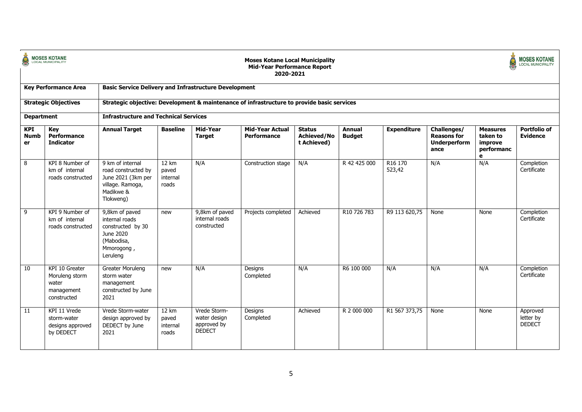| ġ                               | <b>MOSES KOTANE</b><br>LOCAL MUNICIPALITY                              |                                                                                                             |                                     |                                                              | <b>Moses Kotane Local Municipality</b><br><b>Mid-Year Performance Report</b><br>2020-2021 |                                                    |                                |                               |                                                                  |                                                           | <b>MOSES KOTANE</b><br><b>LOCAL MUNICIPALITY</b> |
|---------------------------------|------------------------------------------------------------------------|-------------------------------------------------------------------------------------------------------------|-------------------------------------|--------------------------------------------------------------|-------------------------------------------------------------------------------------------|----------------------------------------------------|--------------------------------|-------------------------------|------------------------------------------------------------------|-----------------------------------------------------------|--------------------------------------------------|
|                                 | <b>Key Performance Area</b>                                            | <b>Basic Service Delivery and Infrastructure Development</b>                                                |                                     |                                                              |                                                                                           |                                                    |                                |                               |                                                                  |                                                           |                                                  |
|                                 | <b>Strategic Objectives</b>                                            | Strategic objective: Development & maintenance of infrastructure to provide basic services                  |                                     |                                                              |                                                                                           |                                                    |                                |                               |                                                                  |                                                           |                                                  |
| <b>Department</b>               |                                                                        | <b>Infrastructure and Technical Services</b>                                                                |                                     |                                                              |                                                                                           |                                                    |                                |                               |                                                                  |                                                           |                                                  |
| <b>KPI</b><br><b>Numb</b><br>er | Key<br>Performance<br><b>Indicator</b>                                 | <b>Annual Target</b>                                                                                        | <b>Baseline</b>                     | Mid-Year<br><b>Target</b>                                    | <b>Mid-Year Actual</b><br>Performance                                                     | <b>Status</b><br><b>Achieved/No</b><br>t Achieved) | <b>Annual</b><br><b>Budget</b> | <b>Expenditure</b>            | Challenges/<br><b>Reasons for</b><br><b>Underperform</b><br>ance | <b>Measures</b><br>taken to<br>improve<br>performanc<br>e | <b>Portfolio of</b><br><b>Evidence</b>           |
| 8                               | KPI 8 Number of<br>km of internal<br>roads constructed                 | 9 km of internal<br>road constructed by<br>June 2021 (3km per<br>village. Ramoga,<br>Madikwe &<br>Tlokweng) | 12 km<br>paved<br>internal<br>roads | N/A                                                          | Construction stage                                                                        | N/A                                                | R 42 425 000                   | R <sub>16</sub> 170<br>523,42 | N/A                                                              | N/A                                                       | Completion<br>Certificate                        |
| -9                              | KPI 9 Number of<br>km of internal<br>roads constructed                 | 9,8km of paved<br>internal roads<br>constructed by 30<br>June 2020<br>(Mabodisa,<br>Mmorogong,<br>Leruleng  | new                                 | 9,8km of paved<br>internal roads<br>constructed              | Projects completed                                                                        | Achieved                                           | R10 726 783                    | R9 113 620,75                 | None                                                             | None                                                      | Completion<br>Certificate                        |
| 10                              | KPI 10 Greater<br>Moruleng storm<br>water<br>management<br>constructed | <b>Greater Moruleng</b><br>storm water<br>management<br>constructed by June<br>2021                         | new                                 | N/A                                                          | Designs<br>Completed                                                                      | N/A                                                | R6 100 000                     | N/A                           | N/A                                                              | N/A                                                       | Completion<br>Certificate                        |
| 11                              | KPI 11 Vrede<br>storm-water<br>designs approved<br>by DEDECT           | Vrede Storm-water<br>design approved by<br>DEDECT by June<br>2021                                           | 12 km<br>paved<br>internal<br>roads | Vrede Storm-<br>water design<br>approved by<br><b>DEDECT</b> | Designs<br>Completed                                                                      | Achieved                                           | R 2 000 000                    | R1 567 373,75                 | None                                                             | None                                                      | Approved<br>letter by<br><b>DEDECT</b>           |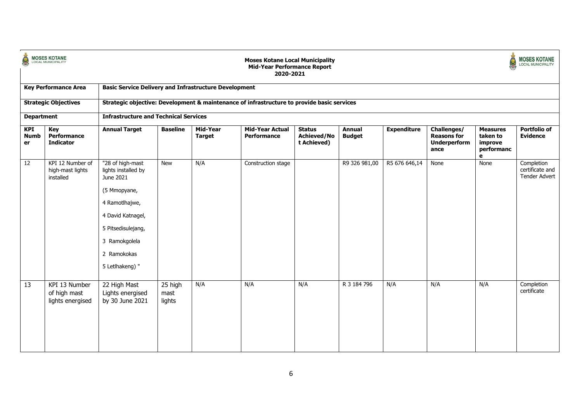| Č                               | <b>MOSES KOTANE</b><br>LOCAL MUNICIPALITY         | <b>Moses Kotane Local Municipality</b><br><b>Mid-Year Performance Report</b><br>2020-2021<br><b>Basic Service Delivery and Infrastructure Development</b>                            |                           |                           |                                       |                                                    |                                |                    |                                                                  | <b>MOSES KOTANE</b><br><b>LOCAL MUNICIPALITY</b>          |                                                       |
|---------------------------------|---------------------------------------------------|--------------------------------------------------------------------------------------------------------------------------------------------------------------------------------------|---------------------------|---------------------------|---------------------------------------|----------------------------------------------------|--------------------------------|--------------------|------------------------------------------------------------------|-----------------------------------------------------------|-------------------------------------------------------|
|                                 | <b>Key Performance Area</b>                       |                                                                                                                                                                                      |                           |                           |                                       |                                                    |                                |                    |                                                                  |                                                           |                                                       |
|                                 | <b>Strategic Objectives</b>                       | Strategic objective: Development & maintenance of infrastructure to provide basic services                                                                                           |                           |                           |                                       |                                                    |                                |                    |                                                                  |                                                           |                                                       |
| <b>Department</b>               |                                                   | <b>Infrastructure and Technical Services</b>                                                                                                                                         |                           |                           |                                       |                                                    |                                |                    |                                                                  |                                                           |                                                       |
| <b>KPI</b><br><b>Numb</b><br>er | Key<br>Performance<br><b>Indicator</b>            | <b>Annual Target</b>                                                                                                                                                                 | <b>Baseline</b>           | Mid-Year<br><b>Target</b> | <b>Mid-Year Actual</b><br>Performance | <b>Status</b><br><b>Achieved/No</b><br>t Achieved) | <b>Annual</b><br><b>Budget</b> | <b>Expenditure</b> | Challenges/<br><b>Reasons for</b><br><b>Underperform</b><br>ance | <b>Measures</b><br>taken to<br>improve<br>performanc<br>e | <b>Portfolio of</b><br><b>Evidence</b>                |
| $\overline{12}$                 | KPI 12 Number of<br>high-mast lights<br>installed | "28 of high-mast<br>lights installed by<br>June 2021<br>(5 Mmopyane,<br>4 Ramotlhajwe,<br>4 David Katnagel,<br>5 Pitsedisulejang,<br>3 Ramokgolela<br>2 Ramokokas<br>5 Letlhakeng) " | <b>New</b>                | N/A                       | Construction stage                    |                                                    | R9 326 981,00                  | R5 676 646,14      | None                                                             | None                                                      | Completion<br>certificate and<br><b>Tender Advert</b> |
| 13                              | KPI 13 Number<br>of high mast<br>lights energised | 22 High Mast<br>Lights energised<br>by 30 June 2021                                                                                                                                  | 25 high<br>mast<br>lights | N/A                       | N/A                                   | N/A                                                | R 3 184 796                    | N/A                | N/A                                                              | N/A                                                       | Completion<br>certificate                             |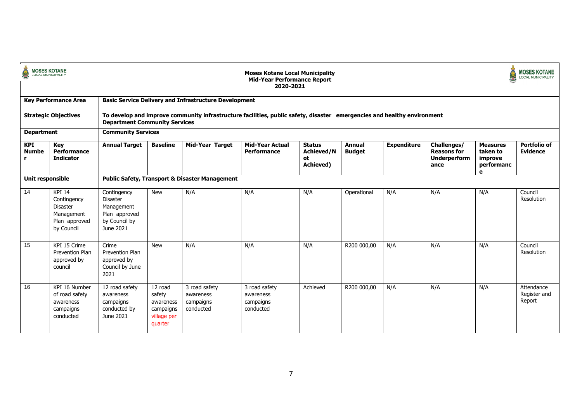| <b>MOSES KOTANE</b><br>LOCAL MUNICIPALITY |                                                                                              |                                                                                             |                                                                       |                                                                                                                         | <b>Moses Kotane Local Municipality</b><br><b>Mid-Year Performance Report</b><br>2020-2021 |                                                       |                                |                    |                                                                  |                                                           | <b>MOSES KOTANE</b><br><b>LOCAL MUNICIPALITY</b> |  |  |  |
|-------------------------------------------|----------------------------------------------------------------------------------------------|---------------------------------------------------------------------------------------------|-----------------------------------------------------------------------|-------------------------------------------------------------------------------------------------------------------------|-------------------------------------------------------------------------------------------|-------------------------------------------------------|--------------------------------|--------------------|------------------------------------------------------------------|-----------------------------------------------------------|--------------------------------------------------|--|--|--|
|                                           | <b>Key Performance Area</b>                                                                  |                                                                                             |                                                                       | <b>Basic Service Delivery and Infrastructure Development</b>                                                            |                                                                                           |                                                       |                                |                    |                                                                  |                                                           |                                                  |  |  |  |
|                                           | <b>Strategic Objectives</b>                                                                  | <b>Department Community Services</b>                                                        |                                                                       | To develop and improve community infrastructure facilities, public safety, disaster emergencies and healthy environment |                                                                                           |                                                       |                                |                    |                                                                  |                                                           |                                                  |  |  |  |
| <b>Department</b>                         |                                                                                              |                                                                                             | <b>Community Services</b>                                             |                                                                                                                         |                                                                                           |                                                       |                                |                    |                                                                  |                                                           |                                                  |  |  |  |
| <b>KPI</b><br><b>Numbe</b><br>r.          | Key<br>Performance<br><b>Indicator</b>                                                       | <b>Annual Target</b>                                                                        | <b>Baseline</b>                                                       | <b>Mid-Year Target</b>                                                                                                  | <b>Mid-Year Actual</b><br>Performance                                                     | <b>Status</b><br><b>Achieved/N</b><br>ot<br>Achieved) | <b>Annual</b><br><b>Budget</b> | <b>Expenditure</b> | Challenges/<br><b>Reasons for</b><br><b>Underperform</b><br>ance | <b>Measures</b><br>taken to<br>improve<br>performanc<br>e | <b>Portfolio of</b><br><b>Evidence</b>           |  |  |  |
| Unit responsible                          |                                                                                              |                                                                                             | <b>Public Safety, Transport &amp; Disaster Management</b>             |                                                                                                                         |                                                                                           |                                                       |                                |                    |                                                                  |                                                           |                                                  |  |  |  |
| 14                                        | <b>KPI 14</b><br>Contingency<br><b>Disaster</b><br>Management<br>Plan approved<br>by Council | Contingency<br><b>Disaster</b><br>Management<br>Plan approved<br>by Council by<br>June 2021 | <b>New</b>                                                            | N/A                                                                                                                     | N/A                                                                                       | N/A                                                   | Operational                    | N/A                | N/A                                                              | N/A                                                       | Council<br>Resolution                            |  |  |  |
| 15                                        | KPI 15 Crime<br>Prevention Plan<br>approved by<br>council                                    | Crime<br>Prevention Plan<br>approved by<br>Council by June<br>2021                          | <b>New</b>                                                            | N/A                                                                                                                     | N/A                                                                                       | N/A                                                   | R200 000,00                    | N/A                | N/A                                                              | N/A                                                       | Council<br>Resolution                            |  |  |  |
| 16                                        | KPI 16 Number<br>of road safety<br>awareness<br>campaigns<br>conducted                       | 12 road safety<br>awareness<br>campaigns<br>conducted by<br>June 2021                       | 12 road<br>safety<br>awareness<br>campaigns<br>village per<br>quarter | 3 road safety<br>awareness<br>campaigns<br>conducted                                                                    | 3 road safety<br>awareness<br>campaigns<br>conducted                                      | Achieved                                              | R200 000,00                    | N/A                | N/A                                                              | N/A                                                       | Attendance<br>Register and<br>Report             |  |  |  |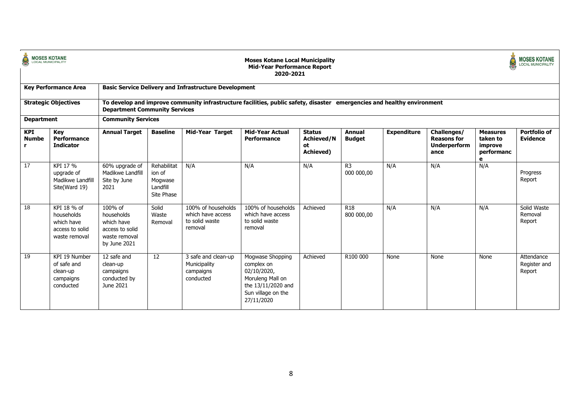| Q                          | <b>MOSES KOTANE</b><br>LOCAL MUNICIPALITY                                   |                                                                                         |                                                            |                                                                      | <b>Moses Kotane Local Municipality</b><br><b>Mid-Year Performance Report</b><br>2020-2021                                   |                                                       |                                |                    |                                                                  |                                                           | <b>MOSES KOTANE</b><br><b>LOCAL MUNICIPALITY</b> |
|----------------------------|-----------------------------------------------------------------------------|-----------------------------------------------------------------------------------------|------------------------------------------------------------|----------------------------------------------------------------------|-----------------------------------------------------------------------------------------------------------------------------|-------------------------------------------------------|--------------------------------|--------------------|------------------------------------------------------------------|-----------------------------------------------------------|--------------------------------------------------|
|                            | <b>Key Performance Area</b>                                                 |                                                                                         |                                                            | <b>Basic Service Delivery and Infrastructure Development</b>         |                                                                                                                             |                                                       |                                |                    |                                                                  |                                                           |                                                  |
|                            | <b>Strategic Objectives</b>                                                 | <b>Department Community Services</b>                                                    |                                                            |                                                                      | To develop and improve community infrastructure facilities, public safety, disaster emergencies and healthy environment     |                                                       |                                |                    |                                                                  |                                                           |                                                  |
| <b>Department</b>          |                                                                             | <b>Community Services</b>                                                               |                                                            |                                                                      |                                                                                                                             |                                                       |                                |                    |                                                                  |                                                           |                                                  |
| <b>KPI</b><br><b>Numbe</b> | Key<br>Performance<br><b>Indicator</b>                                      | <b>Annual Target</b>                                                                    | <b>Baseline</b>                                            | <b>Mid-Year Target</b>                                               | <b>Mid-Year Actual</b><br>Performance                                                                                       | <b>Status</b><br><b>Achieved/N</b><br>ot<br>Achieved) | <b>Annual</b><br><b>Budget</b> | <b>Expenditure</b> | Challenges/<br><b>Reasons for</b><br><b>Underperform</b><br>ance | <b>Measures</b><br>taken to<br>improve<br>performanc<br>е | Portfolio of<br><b>Evidence</b>                  |
| 17                         | KPI 17 %<br>upgrade of<br>Madikwe Landfill<br>Site(Ward 19)                 | 60% upgrade of<br>Madikwe Landfill<br>Site by June<br>2021                              | Rehabilitat<br>ion of<br>Mogwase<br>Landfill<br>Site Phase | N/A                                                                  | N/A                                                                                                                         | N/A                                                   | R <sub>3</sub><br>000 000,00   | N/A                | N/A                                                              | N/A                                                       | Progress<br>Report                               |
| 18                         | KPI 18 % of<br>households<br>which have<br>access to solid<br>waste removal | 100% of<br>households<br>which have<br>access to solid<br>waste removal<br>by June 2021 | Solid<br>Waste<br>Removal                                  | 100% of households<br>which have access<br>to solid waste<br>removal | 100% of households<br>which have access<br>to solid waste<br>removal                                                        | Achieved                                              | R <sub>18</sub><br>800 000.00  | N/A                | N/A                                                              | N/A                                                       | Solid Waste<br>Removal<br>Report                 |
| 19                         | KPI 19 Number<br>of safe and<br>clean-up<br>campaigns<br>conducted          | 12 safe and<br>clean-up<br>campaigns<br>conducted by<br>June 2021                       | 12                                                         | 3 safe and clean-up<br>Municipality<br>campaigns<br>conducted        | Mogwase Shopping<br>complex on<br>02/10/2020,<br>Moruleng Mall on<br>the 13/11/2020 and<br>Sun village on the<br>27/11/2020 | Achieved                                              | R100 000                       | None               | None                                                             | None                                                      | Attendance<br>Register and<br>Report             |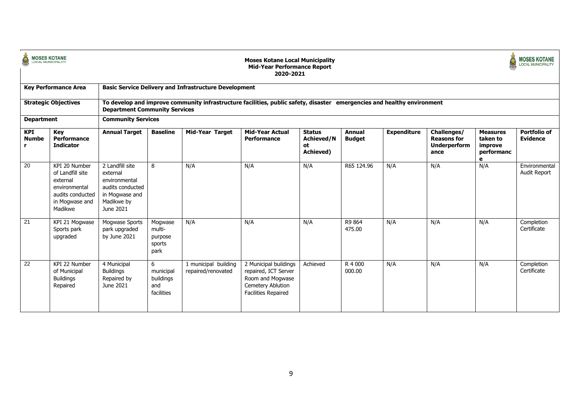| Ċ<br><b>MOSES KOTANE</b>   |                                                                                                                 |                                                                                                               |                                                  |                                                              | <b>Moses Kotane Local Municipality</b><br><b>Mid-Year Performance Report</b><br>2020-2021                               |                                                       |                         |                    |                                                                  |                                                           | <b>IOSES KOTANE</b><br>LOCAL MUNICIPALITY |  |  |
|----------------------------|-----------------------------------------------------------------------------------------------------------------|---------------------------------------------------------------------------------------------------------------|--------------------------------------------------|--------------------------------------------------------------|-------------------------------------------------------------------------------------------------------------------------|-------------------------------------------------------|-------------------------|--------------------|------------------------------------------------------------------|-----------------------------------------------------------|-------------------------------------------|--|--|
|                            | <b>Key Performance Area</b>                                                                                     |                                                                                                               |                                                  | <b>Basic Service Delivery and Infrastructure Development</b> |                                                                                                                         |                                                       |                         |                    |                                                                  |                                                           |                                           |  |  |
|                            | <b>Strategic Objectives</b>                                                                                     | <b>Department Community Services</b>                                                                          |                                                  |                                                              | To develop and improve community infrastructure facilities, public safety, disaster emergencies and healthy environment |                                                       |                         |                    |                                                                  |                                                           |                                           |  |  |
| <b>Department</b>          |                                                                                                                 |                                                                                                               | <b>Community Services</b>                        |                                                              |                                                                                                                         |                                                       |                         |                    |                                                                  |                                                           |                                           |  |  |
| <b>KPI</b><br><b>Numbe</b> | <b>Key</b><br>Performance<br><b>Indicator</b>                                                                   | <b>Annual Target</b>                                                                                          | <b>Baseline</b>                                  | <b>Mid-Year Target</b>                                       | <b>Mid-Year Actual</b><br>Performance                                                                                   | <b>Status</b><br><b>Achieved/N</b><br>ot<br>Achieved) | Annual<br><b>Budget</b> | <b>Expenditure</b> | Challenges/<br><b>Reasons for</b><br><b>Underperform</b><br>ance | <b>Measures</b><br>taken to<br>improve<br>performanc<br>е | <b>Portfolio of</b><br><b>Evidence</b>    |  |  |
| 20                         | KPI 20 Number<br>of Landfill site<br>external<br>environmental<br>audits conducted<br>in Mogwase and<br>Madikwe | 2 Landfill site<br>external<br>environmental<br>audits conducted<br>in Mogwase and<br>Madikwe by<br>June 2021 | 8                                                | N/A                                                          | N/A                                                                                                                     | N/A                                                   | R65 124.96              | N/A                | N/A                                                              | N/A                                                       | Environmental<br><b>Audit Report</b>      |  |  |
| 21                         | KPI 21 Mogwase<br>Sports park<br>upgraded                                                                       | Mogwase Sports<br>park upgraded<br>by June 2021                                                               | Mogwase<br>multi-<br>purpose<br>sports<br>park   | N/A                                                          | N/A                                                                                                                     | N/A                                                   | R9 864<br>475.00        | N/A                | N/A                                                              | N/A                                                       | Completion<br>Certificate                 |  |  |
| 22                         | KPI 22 Number<br>of Municipal<br><b>Buildings</b><br>Repaired                                                   | 4 Municipal<br><b>Buildings</b><br>Repaired by<br>June 2021                                                   | 6<br>municipal<br>buildings<br>and<br>facilities | 1 municipal building<br>repaired/renovated                   | 2 Municipal buildings<br>repaired, ICT Server<br>Room and Mogwase<br>Cemetery Ablution<br><b>Facilities Repaired</b>    | Achieved                                              | R 4 000<br>000.00       | N/A                | N/A                                                              | N/A                                                       | Completion<br>Certificate                 |  |  |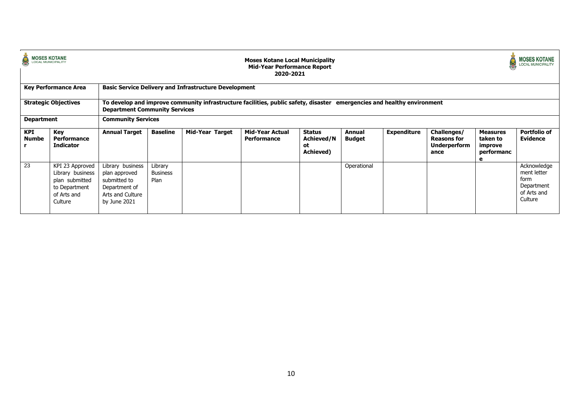| <b>MOSES KOTANE</b><br><b>LOCAL MUNICIPALITY</b> |                                                                                                  |                                                                                                        |                                                                                                                                                                                         |                 | <b>Moses Kotane Local Municipality</b><br><b>Mid-Year Performance Report</b><br>2020-2021 |                                         |                         |                    |                                                                  |                                                           | <b>MOSES KOTANE</b><br><b>LOCAL MUNICIPALITY</b>                           |  |  |  |  |
|--------------------------------------------------|--------------------------------------------------------------------------------------------------|--------------------------------------------------------------------------------------------------------|-----------------------------------------------------------------------------------------------------------------------------------------------------------------------------------------|-----------------|-------------------------------------------------------------------------------------------|-----------------------------------------|-------------------------|--------------------|------------------------------------------------------------------|-----------------------------------------------------------|----------------------------------------------------------------------------|--|--|--|--|
|                                                  | <b>Key Performance Area</b>                                                                      |                                                                                                        | <b>Basic Service Delivery and Infrastructure Development</b><br>To develop and improve community infrastructure facilities, public safety, disaster emergencies and healthy environment |                 |                                                                                           |                                         |                         |                    |                                                                  |                                                           |                                                                            |  |  |  |  |
|                                                  | <b>Strategic Objectives</b>                                                                      |                                                                                                        | <b>Department Community Services</b>                                                                                                                                                    |                 |                                                                                           |                                         |                         |                    |                                                                  |                                                           |                                                                            |  |  |  |  |
| <b>Department</b>                                |                                                                                                  | <b>Community Services</b>                                                                              |                                                                                                                                                                                         |                 |                                                                                           |                                         |                         |                    |                                                                  |                                                           |                                                                            |  |  |  |  |
| KPI<br>Numbe                                     | Key<br><b>Performance</b><br><b>Indicator</b>                                                    | <b>Annual Target</b>                                                                                   | <b>Baseline</b>                                                                                                                                                                         | Mid-Year Target | <b>Mid-Year Actual</b><br>Performance                                                     | Status<br>Achieved/N<br>оt<br>Achieved) | Annual<br><b>Budget</b> | <b>Expenditure</b> | Challenges/<br><b>Reasons for</b><br><b>Underperform</b><br>ance | <b>Measures</b><br>taken to<br>improve<br>performanc<br>е | <b>Portfolio of</b><br><b>Evidence</b>                                     |  |  |  |  |
| $\overline{23}$                                  | KPI 23 Approved<br>Library business<br>plan submitted<br>to Department<br>of Arts and<br>Culture | Library business<br>plan approved<br>submitted to<br>Department of<br>Arts and Culture<br>by June 2021 | Library<br><b>Business</b><br>Plan                                                                                                                                                      |                 |                                                                                           |                                         | Operational             |                    |                                                                  |                                                           | Acknowledge<br>ment letter<br>form<br>Department<br>of Arts and<br>Culture |  |  |  |  |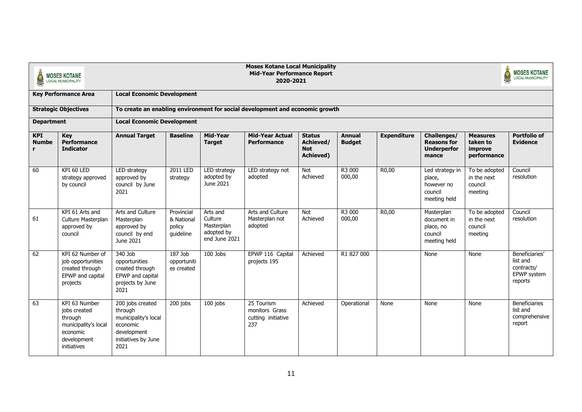| <b>Moses Kotane Local Municipality</b><br><b>Mid-Year Performance Report</b><br><b>MOSES KOTANE</b><br>2020-2021<br><b>LOCAL MUNICIPALITY</b><br><b>Local Economic Development</b><br><b>Key Performance Area</b> |                                                                                                            |                                                                                                               |                                                                                                                                                                                      |                                                                  |                                                                              |                                             |                  |                    | <b>MOSES KOTANE</b><br>LOCAL MUNICIPALITY                          |                                                    |                                                                    |  |  |  |
|-------------------------------------------------------------------------------------------------------------------------------------------------------------------------------------------------------------------|------------------------------------------------------------------------------------------------------------|---------------------------------------------------------------------------------------------------------------|--------------------------------------------------------------------------------------------------------------------------------------------------------------------------------------|------------------------------------------------------------------|------------------------------------------------------------------------------|---------------------------------------------|------------------|--------------------|--------------------------------------------------------------------|----------------------------------------------------|--------------------------------------------------------------------|--|--|--|
|                                                                                                                                                                                                                   |                                                                                                            |                                                                                                               |                                                                                                                                                                                      |                                                                  |                                                                              |                                             |                  |                    |                                                                    |                                                    |                                                                    |  |  |  |
|                                                                                                                                                                                                                   | <b>Strategic Objectives</b>                                                                                |                                                                                                               |                                                                                                                                                                                      |                                                                  | To create an enabling environment for social development and economic growth |                                             |                  |                    |                                                                    |                                                    |                                                                    |  |  |  |
| <b>Department</b>                                                                                                                                                                                                 |                                                                                                            |                                                                                                               | <b>Local Economic Development</b><br>Mid-Year<br><b>Mid-Year Actual</b><br><b>Baseline</b><br><b>Status</b><br><b>Annual</b><br><b>Expenditure</b><br>Challenges/<br><b>Measures</b> |                                                                  |                                                                              |                                             |                  |                    |                                                                    |                                                    |                                                                    |  |  |  |
| <b>KPI</b><br><b>Numbe</b>                                                                                                                                                                                        | <b>Key</b><br><b>Performance</b><br><b>Indicator</b>                                                       | <b>Annual Target</b>                                                                                          |                                                                                                                                                                                      | <b>Target</b>                                                    | Performance                                                                  | Achieved/<br><b>Not</b><br><b>Achieved)</b> | <b>Budget</b>    |                    | <b>Reasons for</b><br><b>Underperfor</b><br>mance                  | taken to<br>improve<br>performance                 | <b>Portfolio of</b><br><b>Evidence</b>                             |  |  |  |
| 60                                                                                                                                                                                                                | KPI 60 LED<br>strategy approved<br>by council                                                              | LED strategy<br>approved by<br>council by June<br>2021                                                        | 2011 LED<br>strategy                                                                                                                                                                 | LED strategy<br>adopted by<br>June 2021                          | LED strategy not<br>adopted                                                  | <b>Not</b><br>Achieved                      | R3 000<br>000,00 | R <sub>0</sub> ,00 | Led strategy in<br>place,<br>however no<br>council<br>meeting held | To be adopted<br>in the next<br>council<br>meeting | Council<br>resolution                                              |  |  |  |
| 61                                                                                                                                                                                                                | KPI 61 Arts and<br>Culture Masterplan<br>approved by<br>council                                            | Arts and Culture<br>Masterplan<br>approved by<br>council by end<br>June 2021                                  | Provincial<br>& National<br>policy<br>quideline                                                                                                                                      | Arts and<br>Culture<br>Masterplan<br>adopted by<br>end June 2021 | Arts and Culture<br>Masterplan not<br>adopted                                | <b>Not</b><br>Achieved                      | R3 000<br>000,00 | R0,00              | Masterplan<br>document in<br>place, no<br>council<br>meeting held  | To be adopted<br>in the next<br>council<br>meeting | Council<br>resolution                                              |  |  |  |
| 62                                                                                                                                                                                                                | KPI 62 Number of<br>job opportunities<br>created through<br>EPWP and capital<br>projects                   | 340 Job<br>opportunities<br>created through<br>EPWP and capital<br>projects by June<br>2021                   | $187$ Job<br>opportuniti<br>es created                                                                                                                                               | 100 Jobs                                                         | EPWP 116 Capital<br>projects 195                                             | Achieved                                    | R1 827 000       |                    | None                                                               | None                                               | Beneficiaries'<br>list and<br>contracts/<br>EPWP system<br>reports |  |  |  |
| 63                                                                                                                                                                                                                | KPI 63 Number<br>jobs created<br>through<br>municipality's local<br>economic<br>development<br>initiatives | 200 jobs created<br>through<br>municipality's local<br>economic<br>development<br>initiatives by June<br>2021 | 200 jobs                                                                                                                                                                             | 100 jobs                                                         | 25 Tourism<br>monitors Grass<br>cutting initiative<br>237                    | Achieved                                    | Operational      | None               | None                                                               | None                                               | <b>Beneficiaries</b><br>list and<br>comprehensive<br>report        |  |  |  |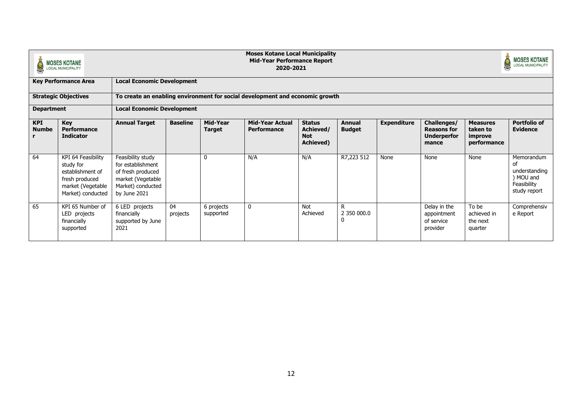|                            | <b>MOSES KOTANE</b><br><b>LOCAL MUNICIPALITY</b>                                                                |                                                                                                                       |                 |                           | <b>Moses Kotane Local Municipality</b><br><b>Mid-Year Performance Report</b><br>2020-2021 |                                                              |                                |                    |                                                                  |                                                       | <b>MOSES KOTANE</b><br><b>LOCAL MUNICIPALITY</b>                              |
|----------------------------|-----------------------------------------------------------------------------------------------------------------|-----------------------------------------------------------------------------------------------------------------------|-----------------|---------------------------|-------------------------------------------------------------------------------------------|--------------------------------------------------------------|--------------------------------|--------------------|------------------------------------------------------------------|-------------------------------------------------------|-------------------------------------------------------------------------------|
|                            | <b>Key Performance Area</b>                                                                                     | <b>Local Economic Development</b>                                                                                     |                 |                           |                                                                                           |                                                              |                                |                    |                                                                  |                                                       |                                                                               |
|                            | <b>Strategic Objectives</b>                                                                                     |                                                                                                                       |                 |                           | To create an enabling environment for social development and economic growth              |                                                              |                                |                    |                                                                  |                                                       |                                                                               |
| <b>Department</b>          |                                                                                                                 | <b>Local Economic Development</b>                                                                                     |                 |                           |                                                                                           |                                                              |                                |                    |                                                                  |                                                       |                                                                               |
| <b>KPI</b><br><b>Numbe</b> | <b>Key</b><br>Performance<br><b>Indicator</b>                                                                   | <b>Annual Target</b>                                                                                                  | <b>Baseline</b> | Mid-Year<br><b>Target</b> | <b>Mid-Year Actual</b><br>Performance                                                     | <b>Status</b><br>Achieved/<br><b>Not</b><br><b>Achieved)</b> | <b>Annual</b><br><b>Budget</b> | <b>Expenditure</b> | Challenges/<br><b>Reasons for</b><br><b>Underperfor</b><br>mance | <b>Measures</b><br>taken to<br>improve<br>performance | <b>Portfolio of</b><br><b>Evidence</b>                                        |
| 64                         | KPI 64 Feasibility<br>study for<br>establishment of<br>fresh produced<br>market (Vegetable<br>Market) conducted | Feasibility study<br>for establishment<br>of fresh produced<br>market (Vegetable<br>Market) conducted<br>by June 2021 |                 | $\mathbf{0}$              | N/A                                                                                       | N/A                                                          | R7,223 512                     | None               | None                                                             | None                                                  | Memorandum<br>οf<br>understanding<br>) MOU and<br>Feasibility<br>study report |
| 65                         | KPI 65 Number of<br>LED projects<br>financially<br>supported                                                    | 6 LED projects<br>financially<br>supported by June<br>2021                                                            | 04<br>projects  | 6 projects<br>supported   | $\mathbf 0$                                                                               | Not<br>Achieved                                              | R<br>2 350 000.0               |                    | Delay in the<br>appointment<br>of service<br>provider            | To be<br>achieved in<br>the next<br>quarter           | Comprehensiv<br>e Report                                                      |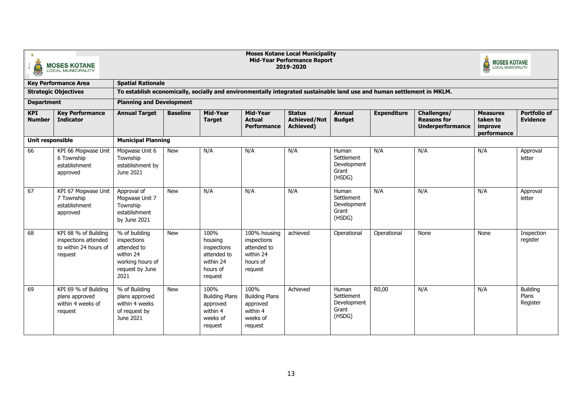| 监                           | <b>MOSES KOTANE</b><br><b>LOCAL MUNICIPALITY</b>                                 |                                                                                                                       |                                                                                                                                                               |                                                                                   |                                                                                | <b>Moses Kotane Local Municipality</b><br><b>Mid-Year Performance Report</b><br>2019-2020 |                                                       |             |                                               | <b>MOSES KOTANE</b><br>LOCAL MUNICIPALITY |                                      |  |  |
|-----------------------------|----------------------------------------------------------------------------------|-----------------------------------------------------------------------------------------------------------------------|---------------------------------------------------------------------------------------------------------------------------------------------------------------|-----------------------------------------------------------------------------------|--------------------------------------------------------------------------------|-------------------------------------------------------------------------------------------|-------------------------------------------------------|-------------|-----------------------------------------------|-------------------------------------------|--------------------------------------|--|--|
|                             | <b>Key Performance Area</b>                                                      | <b>Spatial Rationale</b>                                                                                              |                                                                                                                                                               |                                                                                   |                                                                                |                                                                                           |                                                       |             |                                               |                                           |                                      |  |  |
|                             | <b>Strategic Objectives</b>                                                      | To establish economically, socially and environmentally integrated sustainable land use and human settlement in MKLM. |                                                                                                                                                               |                                                                                   |                                                                                |                                                                                           |                                                       |             |                                               |                                           |                                      |  |  |
| <b>Department</b>           |                                                                                  |                                                                                                                       | <b>Planning and Development</b><br>Mid-Year<br>Mid-Year<br>Challenges/<br><b>Baseline</b><br><b>Status</b><br>Annual<br><b>Expenditure</b><br><b>Measures</b> |                                                                                   |                                                                                |                                                                                           |                                                       |             |                                               |                                           |                                      |  |  |
| <b>KPI</b><br><b>Number</b> | <b>Key Performance</b><br><b>Indicator</b>                                       | <b>Annual Target</b>                                                                                                  |                                                                                                                                                               | <b>Target</b>                                                                     | <b>Actual</b><br><b>Performance</b>                                            | <b>Achieved/Not</b><br><b>Achieved)</b>                                                   | <b>Budget</b>                                         |             | <b>Reasons for</b><br><b>Underperformance</b> | taken to<br>improve<br>performance        | Portfolio of<br><b>Evidence</b>      |  |  |
| Unit responsible            |                                                                                  | <b>Municipal Planning</b>                                                                                             |                                                                                                                                                               |                                                                                   |                                                                                |                                                                                           |                                                       |             |                                               |                                           |                                      |  |  |
| 66                          | KPI 66 Mogwase Unit<br>6 Township<br>establishment<br>approved                   | Mogwase Unit 6<br>Township<br>establishment by<br>June 2021                                                           | <b>New</b>                                                                                                                                                    | N/A                                                                               | N/A                                                                            | N/A                                                                                       | Human<br>Settlement<br>Development<br>Grant<br>(HSDG) | N/A         | N/A                                           | N/A                                       | Approval<br>letter                   |  |  |
| 67                          | KPI 67 Mogwase Unit<br>7 Township<br>establishment<br>approved                   | Approval of<br>Mogwase Unit 7<br>Township<br>establishment<br>by June 2021                                            | <b>New</b>                                                                                                                                                    | N/A                                                                               | N/A                                                                            | N/A                                                                                       | Human<br>Settlement<br>Development<br>Grant<br>(HSDG) | N/A         | N/A                                           | N/A                                       | Approval<br>letter                   |  |  |
| 68                          | KPI 68 % of Building<br>inspections attended<br>to within 24 hours of<br>request | % of building<br>inspections<br>attended to<br>within 24<br>working hours of<br>request by June<br>2021               | <b>New</b>                                                                                                                                                    | 100%<br>housing<br>inspections<br>attended to<br>within 24<br>hours of<br>request | 100% housing<br>inspections<br>attended to<br>within 24<br>hours of<br>request | achieved                                                                                  | Operational                                           | Operational | None                                          | None                                      | Inspection<br>register               |  |  |
| 69                          | KPI 69 % of Building<br>plans approved<br>within 4 weeks of<br>request           | % of Building<br>plans approved<br>within 4 weeks<br>of request by<br>June 2021                                       | <b>New</b>                                                                                                                                                    | 100%<br><b>Building Plans</b><br>approved<br>within 4<br>weeks of<br>request      | 100%<br><b>Building Plans</b><br>approved<br>within 4<br>weeks of<br>request   | Achieved                                                                                  | Human<br>Settlement<br>Development<br>Grant<br>(HSDG) | R0,00       | N/A                                           | N/A                                       | <b>Building</b><br>Plans<br>Register |  |  |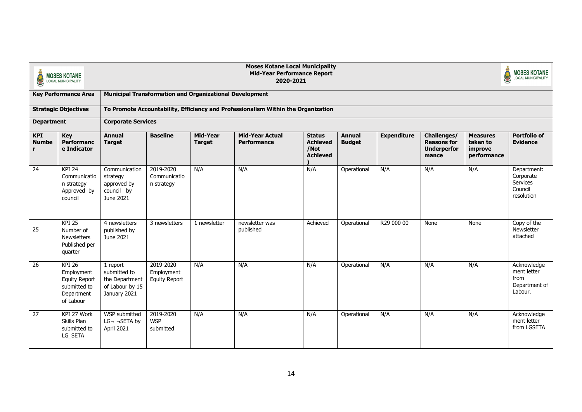| <b>Moses Kotane Local Municipality</b><br><b>Mid-Year Performance Report</b><br><b>MOSES KOTANE</b><br><b>LOCAL MUNICIPALITY</b><br>2020-2021<br><b>Municipal Transformation and Organizational Development</b><br><b>Key Performance Area</b> |                                                                                           |                                                                               |                                                                                                                                                                                                                                                                                                                                                                                                                                               |              |                                                                                   |          |             |            |      | <b>MOSES KOTANE</b><br>LOCAL MUNICIPALITY |                                                                |
|------------------------------------------------------------------------------------------------------------------------------------------------------------------------------------------------------------------------------------------------|-------------------------------------------------------------------------------------------|-------------------------------------------------------------------------------|-----------------------------------------------------------------------------------------------------------------------------------------------------------------------------------------------------------------------------------------------------------------------------------------------------------------------------------------------------------------------------------------------------------------------------------------------|--------------|-----------------------------------------------------------------------------------|----------|-------------|------------|------|-------------------------------------------|----------------------------------------------------------------|
|                                                                                                                                                                                                                                                |                                                                                           |                                                                               |                                                                                                                                                                                                                                                                                                                                                                                                                                               |              |                                                                                   |          |             |            |      |                                           |                                                                |
|                                                                                                                                                                                                                                                | <b>Strategic Objectives</b>                                                               |                                                                               |                                                                                                                                                                                                                                                                                                                                                                                                                                               |              | To Promote Accountability, Efficiency and Professionalism Within the Organization |          |             |            |      |                                           |                                                                |
| <b>Department</b>                                                                                                                                                                                                                              |                                                                                           | <b>Corporate Services</b>                                                     |                                                                                                                                                                                                                                                                                                                                                                                                                                               |              |                                                                                   |          |             |            |      |                                           |                                                                |
| <b>KPI</b><br><b>Numbe</b>                                                                                                                                                                                                                     | Key<br>Performanc<br>e Indicator                                                          | <b>Annual</b><br><b>Target</b>                                                | <b>Baseline</b><br><b>Mid-Year</b><br><b>Mid-Year Actual</b><br><b>Expenditure</b><br><b>Status</b><br><b>Annual</b><br>Challenges/<br><b>Measures</b><br><b>Achieved</b><br><b>Budget</b><br><b>Reasons for</b><br>taken to<br><b>Target</b><br><b>Performance</b><br><b>Underperfor</b><br>/Not<br>improve<br><b>Achieved</b><br>performance<br>mance<br>2019-2020<br>N/A<br>N/A<br>N/A<br>N/A<br>N/A<br>N/A<br>Operational<br>Communicatio |              |                                                                                   |          |             |            |      |                                           |                                                                |
| 24                                                                                                                                                                                                                                             | <b>KPI 24</b><br>Communicatio<br>n strategy<br>Approved by<br>council                     | Communication<br>strategy<br>approved by<br>council by<br>June 2021           | n strategy                                                                                                                                                                                                                                                                                                                                                                                                                                    |              |                                                                                   |          |             |            |      |                                           | Department:<br>Corporate<br>Services<br>Council<br>resolution  |
| 25                                                                                                                                                                                                                                             | <b>KPI 25</b><br>Number of<br><b>Newsletters</b><br>Published per<br>quarter              | 4 newsletters<br>published by<br>June 2021                                    | 3 newsletters                                                                                                                                                                                                                                                                                                                                                                                                                                 | 1 newsletter | newsletter was<br>published                                                       | Achieved | Operational | R29 000 00 | None | None                                      | Copy of the<br>Newsletter<br>attached                          |
| 26                                                                                                                                                                                                                                             | $KPI$ 26<br>Employment<br><b>Equity Report</b><br>submitted to<br>Department<br>of Labour | 1 report<br>submitted to<br>the Department<br>of Labour by 15<br>January 2021 | 2019-2020<br>Employment<br><b>Equity Report</b>                                                                                                                                                                                                                                                                                                                                                                                               | N/A          | N/A                                                                               | N/A      | Operational | N/A        | N/A  | N/A                                       | Acknowledge<br>ment letter<br>from<br>Department of<br>Labour. |
| 27                                                                                                                                                                                                                                             | KPI 27 Work<br>Skills Plan<br>submitted to<br>LG_SETA                                     | WSP submitted<br>$LG\neg\neg SETA by$<br>April 2021                           | 2019-2020<br><b>WSP</b><br>submitted                                                                                                                                                                                                                                                                                                                                                                                                          | N/A          | N/A                                                                               | N/A      | Operational | N/A        | N/A  | N/A                                       | Acknowledge<br>ment letter<br>from LGSETA                      |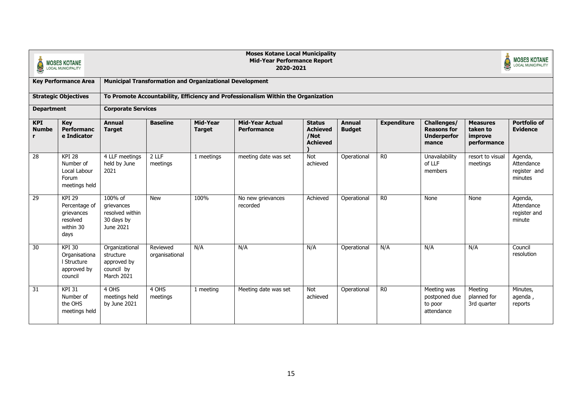|                                  | <b>MOSES KOTANE</b><br><b>LOCAL MUNICIPALITY</b>                              |                                                                        | <b>Moses Kotane Local Municipality</b><br><b>Mid-Year Performance Report</b><br>2020-2021 |                           |                                                                                   |                                                             |                                |                    |                                                                  |                                                       |                                                  |  |  |
|----------------------------------|-------------------------------------------------------------------------------|------------------------------------------------------------------------|-------------------------------------------------------------------------------------------|---------------------------|-----------------------------------------------------------------------------------|-------------------------------------------------------------|--------------------------------|--------------------|------------------------------------------------------------------|-------------------------------------------------------|--------------------------------------------------|--|--|
|                                  | <b>Key Performance Area</b>                                                   |                                                                        | <b>Municipal Transformation and Organizational Development</b>                            |                           |                                                                                   |                                                             |                                |                    |                                                                  |                                                       |                                                  |  |  |
|                                  | <b>Strategic Objectives</b>                                                   |                                                                        |                                                                                           |                           | To Promote Accountability, Efficiency and Professionalism Within the Organization |                                                             |                                |                    |                                                                  |                                                       |                                                  |  |  |
| <b>Department</b>                |                                                                               | <b>Corporate Services</b>                                              |                                                                                           |                           |                                                                                   |                                                             |                                |                    |                                                                  |                                                       |                                                  |  |  |
| <b>KPI</b><br><b>Numbe</b><br>r. | Key<br><b>Performanc</b><br>e Indicator                                       | <b>Annual</b><br><b>Target</b>                                         | <b>Baseline</b>                                                                           | Mid-Year<br><b>Target</b> | <b>Mid-Year Actual</b><br><b>Performance</b>                                      | <b>Status</b><br><b>Achieved</b><br>/Not<br><b>Achieved</b> | <b>Annual</b><br><b>Budget</b> | <b>Expenditure</b> | Challenges/<br><b>Reasons for</b><br><b>Underperfor</b><br>mance | <b>Measures</b><br>taken to<br>improve<br>performance | <b>Portfolio of</b><br><b>Evidence</b>           |  |  |
| 28                               | <b>KPI 28</b><br>Number of<br>Local Labour<br>Forum<br>meetings held          | 4 LLF meetings<br>held by June<br>2021                                 | 2 LLF<br>meetings                                                                         | 1 meetings                | meeting date was set                                                              | Not<br>achieved                                             | Operational                    | R <sub>0</sub>     | Unavailability<br>of LLF<br>members                              | resort to visual<br>meetings                          | Agenda,<br>Attendance<br>register and<br>minutes |  |  |
| 29                               | <b>KPI 29</b><br>Percentage of<br>grievances<br>resolved<br>within 30<br>days | 100% of<br>grievances<br>resolved within<br>30 days by<br>June 2021    | <b>New</b>                                                                                | 100%                      | No new grievances<br>recorded                                                     | Achieved                                                    | Operational                    | R <sub>0</sub>     | None                                                             | None                                                  | Agenda,<br>Attendance<br>register and<br>minute  |  |  |
| 30                               | <b>KPI 30</b><br>Organisationa<br>I Structure<br>approved by<br>council       | Organizational<br>structure<br>approved by<br>council by<br>March 2021 | Reviewed<br>organisational                                                                | N/A                       | N/A                                                                               | N/A                                                         | Operational                    | N/A                | N/A                                                              | N/A                                                   | Council<br>resolution                            |  |  |
| 31                               | <b>KPI 31</b><br>Number of<br>the OHS<br>meetings held                        | 4 OHS<br>meetings held<br>by June 2021                                 | 4 OHS<br>meetings                                                                         | 1 meeting                 | Meeting date was set                                                              | Not<br>achieved                                             | Operational                    | R <sub>0</sub>     | Meeting was<br>postponed due<br>to poor<br>attendance            | Meeting<br>planned for<br>3rd quarter                 | Minutes,<br>agenda,<br>reports                   |  |  |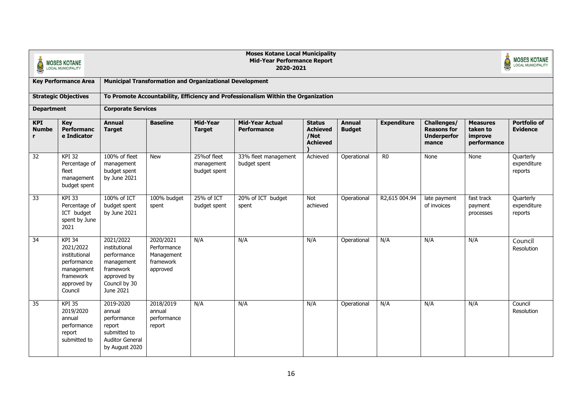|                                 | <b>MOSES KOTANE</b><br><b>LOCAL MUNICIPALITY</b>                                                         |                                                                                                                   |                                                                 |                                            | <b>Moses Kotane Local Municipality</b><br><b>Mid-Year Performance Report</b><br>2020-2021 |                                                             |                                |                    |                                                                  |                                                       | <b>MOSES KOTANE</b><br><b>LOCAL MUNICIPALITY</b> |
|---------------------------------|----------------------------------------------------------------------------------------------------------|-------------------------------------------------------------------------------------------------------------------|-----------------------------------------------------------------|--------------------------------------------|-------------------------------------------------------------------------------------------|-------------------------------------------------------------|--------------------------------|--------------------|------------------------------------------------------------------|-------------------------------------------------------|--------------------------------------------------|
|                                 | <b>Key Performance Area</b>                                                                              |                                                                                                                   | <b>Municipal Transformation and Organizational Development</b>  |                                            |                                                                                           |                                                             |                                |                    |                                                                  |                                                       |                                                  |
|                                 | <b>Strategic Objectives</b>                                                                              |                                                                                                                   |                                                                 |                                            | To Promote Accountability, Efficiency and Professionalism Within the Organization         |                                                             |                                |                    |                                                                  |                                                       |                                                  |
| <b>Department</b>               |                                                                                                          | <b>Corporate Services</b>                                                                                         |                                                                 |                                            |                                                                                           |                                                             |                                |                    |                                                                  |                                                       |                                                  |
| <b>KPI</b><br><b>Numbe</b><br>r | <b>Key</b><br>Performanc<br>e Indicator                                                                  | <b>Annual</b><br><b>Target</b>                                                                                    | <b>Baseline</b>                                                 | Mid-Year<br><b>Target</b>                  | <b>Mid-Year Actual</b><br><b>Performance</b>                                              | <b>Status</b><br><b>Achieved</b><br>/Not<br><b>Achieved</b> | <b>Annual</b><br><b>Budget</b> | <b>Expenditure</b> | Challenges/<br><b>Reasons for</b><br><b>Underperfor</b><br>mance | <b>Measures</b><br>taken to<br>improve<br>performance | <b>Portfolio of</b><br><b>Evidence</b>           |
| 32                              | <b>KPI 32</b><br>Percentage of<br>fleet<br>management<br>budget spent                                    | 100% of fleet<br>management<br>budget spent<br>by June 2021                                                       | <b>New</b>                                                      | 25% of fleet<br>management<br>budget spent | 33% fleet management<br>budget spent                                                      | Achieved                                                    | Operational                    | R <sub>0</sub>     | None                                                             | None                                                  | Quarterly<br>expenditure<br>reports              |
| 33                              | <b>KPI 33</b><br>Percentage of<br>ICT budget<br>spent by June<br>2021                                    | 100% of ICT<br>budget spent<br>by June 2021                                                                       | 100% budget<br>spent                                            | 25% of ICT<br>budget spent                 | 20% of ICT budget<br>spent                                                                | Not<br>achieved                                             | Operational                    | R2,615 004.94      | late payment<br>of invoices                                      | fast track<br>payment<br>processes                    | Quarterly<br>expenditure<br>reports              |
| 34                              | KPI 34<br>2021/2022<br>institutional<br>performance<br>management<br>framework<br>approved by<br>Council | 2021/2022<br>institutional<br>performance<br>management<br>framework<br>approved by<br>Council by 30<br>June 2021 | 2020/2021<br>Performance<br>Management<br>framework<br>approved | N/A                                        | N/A                                                                                       | N/A                                                         | Operational                    | N/A                | N/A                                                              | N/A                                                   | Council<br>Resolution                            |
| 35                              | <b>KPI 35</b><br>2019/2020<br>annual<br>performance<br>report<br>submitted to                            | 2019-2020<br>annual<br>performance<br>report<br>submitted to<br><b>Auditor General</b><br>by August 2020          | 2018/2019<br>annual<br>performance<br>report                    | N/A                                        | N/A                                                                                       | N/A                                                         | Operational                    | N/A                | N/A                                                              | N/A                                                   | Council<br>Resolution                            |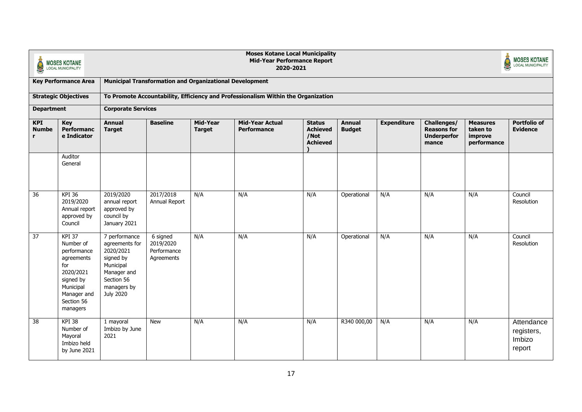| <b>Moses Kotane Local Municipality</b><br><b>Mid-Year Performance Report</b><br><b>MOSES KOTANE</b><br>2020-2021<br><b>LOCAL MUNICIPALITY</b><br><b>Municipal Transformation and Organizational Development</b><br><b>Key Performance Area</b> |                                                                                                                                         |                                                                                                                                        |                                                    |                           |                                                                                   |                                                             |                                |                    |                                                                  | <b>MOSES KOTANE</b>                                   |                                              |
|------------------------------------------------------------------------------------------------------------------------------------------------------------------------------------------------------------------------------------------------|-----------------------------------------------------------------------------------------------------------------------------------------|----------------------------------------------------------------------------------------------------------------------------------------|----------------------------------------------------|---------------------------|-----------------------------------------------------------------------------------|-------------------------------------------------------------|--------------------------------|--------------------|------------------------------------------------------------------|-------------------------------------------------------|----------------------------------------------|
|                                                                                                                                                                                                                                                |                                                                                                                                         |                                                                                                                                        |                                                    |                           |                                                                                   |                                                             |                                |                    |                                                                  |                                                       |                                              |
|                                                                                                                                                                                                                                                | <b>Strategic Objectives</b>                                                                                                             |                                                                                                                                        |                                                    |                           | To Promote Accountability, Efficiency and Professionalism Within the Organization |                                                             |                                |                    |                                                                  |                                                       |                                              |
| <b>Department</b>                                                                                                                                                                                                                              |                                                                                                                                         | <b>Corporate Services</b>                                                                                                              |                                                    |                           |                                                                                   |                                                             |                                |                    |                                                                  |                                                       |                                              |
| <b>KPI</b><br><b>Numbe</b><br>r                                                                                                                                                                                                                | Key<br><b>Performanc</b><br>e Indicator                                                                                                 | <b>Annual</b><br><b>Target</b>                                                                                                         | <b>Baseline</b>                                    | Mid-Year<br><b>Target</b> | <b>Mid-Year Actual</b><br>Performance                                             | <b>Status</b><br><b>Achieved</b><br>/Not<br><b>Achieved</b> | <b>Annual</b><br><b>Budget</b> | <b>Expenditure</b> | Challenges/<br><b>Reasons for</b><br><b>Underperfor</b><br>mance | <b>Measures</b><br>taken to<br>improve<br>performance | <b>Portfolio of</b><br><b>Evidence</b>       |
|                                                                                                                                                                                                                                                | Auditor<br>General                                                                                                                      |                                                                                                                                        |                                                    |                           |                                                                                   |                                                             |                                |                    |                                                                  |                                                       |                                              |
| 36                                                                                                                                                                                                                                             | <b>KPI 36</b><br>2019/2020<br>Annual report<br>approved by<br>Council                                                                   | 2019/2020<br>annual report<br>approved by<br>council by<br>January 2021                                                                | 2017/2018<br>Annual Report                         | N/A                       | N/A                                                                               | N/A                                                         | Operational                    | N/A                | N/A                                                              | N/A                                                   | Council<br>Resolution                        |
| 37                                                                                                                                                                                                                                             | KPI 37<br>Number of<br>performance<br>agreements<br>for<br>2020/2021<br>signed by<br>Municipal<br>Manager and<br>Section 56<br>managers | 7 performance<br>agreements for<br>2020/2021<br>signed by<br>Municipal<br>Manager and<br>Section 56<br>managers by<br><b>July 2020</b> | 6 signed<br>2019/2020<br>Performance<br>Agreements | N/A                       | N/A                                                                               | N/A                                                         | Operational                    | N/A                | N/A                                                              | N/A                                                   | Council<br>Resolution                        |
| 38                                                                                                                                                                                                                                             | <b>KPI 38</b><br>Number of<br>Mayoral<br>Imbizo held<br>by June 2021                                                                    | 1 mayoral<br>Imbizo by June<br>2021                                                                                                    | <b>New</b>                                         | N/A                       | N/A                                                                               | N/A                                                         | R340 000,00                    | N/A                | N/A                                                              | N/A                                                   | Attendance<br>registers,<br>Imbizo<br>report |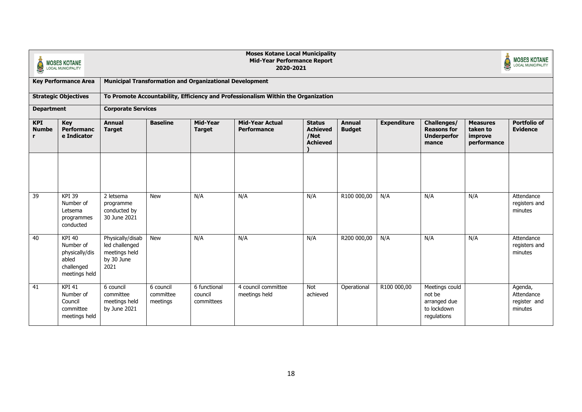| <b>Moses Kotane Local Municipality</b><br><b>Mid-Year Performance Report</b><br><b>MOSES KOTANE</b><br>S<br>2020-2021<br><b>LOCAL MUNICIPALITY</b><br><b>Municipal Transformation and Organizational Development</b> |                                                                                      |                                                                           |                                                                                                                                                                                                                                                                                                                                           |                                       |                                                                                   |                 |             |             |                                                                        |     | <b>MOSES KOTANE</b><br><b>LOCAL MUNICIPALITY</b> |
|----------------------------------------------------------------------------------------------------------------------------------------------------------------------------------------------------------------------|--------------------------------------------------------------------------------------|---------------------------------------------------------------------------|-------------------------------------------------------------------------------------------------------------------------------------------------------------------------------------------------------------------------------------------------------------------------------------------------------------------------------------------|---------------------------------------|-----------------------------------------------------------------------------------|-----------------|-------------|-------------|------------------------------------------------------------------------|-----|--------------------------------------------------|
|                                                                                                                                                                                                                      | <b>Key Performance Area</b>                                                          |                                                                           |                                                                                                                                                                                                                                                                                                                                           |                                       |                                                                                   |                 |             |             |                                                                        |     |                                                  |
|                                                                                                                                                                                                                      | <b>Strategic Objectives</b>                                                          |                                                                           |                                                                                                                                                                                                                                                                                                                                           |                                       | To Promote Accountability, Efficiency and Professionalism Within the Organization |                 |             |             |                                                                        |     |                                                  |
| <b>Department</b>                                                                                                                                                                                                    |                                                                                      | <b>Corporate Services</b>                                                 |                                                                                                                                                                                                                                                                                                                                           |                                       |                                                                                   |                 |             |             |                                                                        |     |                                                  |
| <b>KPI</b><br><b>Numbe</b>                                                                                                                                                                                           | <b>Key</b><br>Performanc<br>e Indicator                                              | <b>Annual</b><br><b>Target</b>                                            | <b>Baseline</b><br>Mid-Year<br><b>Mid-Year Actual</b><br><b>Expenditure</b><br>Challenges/<br><b>Status</b><br><b>Annual</b><br><b>Measures</b><br><b>Achieved</b><br><b>Budget</b><br><b>Reasons for</b><br>taken to<br><b>Target</b><br>Performance<br><b>Underperfor</b><br>/Not<br>improve<br><b>Achieved</b><br>performance<br>mance |                                       |                                                                                   |                 |             |             |                                                                        |     | <b>Portfolio of</b><br><b>Evidence</b>           |
|                                                                                                                                                                                                                      |                                                                                      |                                                                           |                                                                                                                                                                                                                                                                                                                                           |                                       |                                                                                   |                 |             |             |                                                                        |     |                                                  |
| 39                                                                                                                                                                                                                   | <b>KPI 39</b><br>Number of<br>Letsema<br>programmes<br>conducted                     | 2 letsema<br>programme<br>conducted by<br>30 June 2021                    | <b>New</b>                                                                                                                                                                                                                                                                                                                                | N/A                                   | N/A                                                                               | N/A             | R100 000,00 | N/A         | N/A                                                                    | N/A | Attendance<br>registers and<br>minutes           |
| 40                                                                                                                                                                                                                   | <b>KPI 40</b><br>Number of<br>physically/dis<br>abled<br>challenged<br>meetings held | Physically/disab<br>led challenged<br>meetings held<br>by 30 June<br>2021 | <b>New</b>                                                                                                                                                                                                                                                                                                                                | N/A                                   | N/A                                                                               | N/A             | R200 000,00 | N/A         | N/A                                                                    | N/A | Attendance<br>registers and<br>minutes           |
| 41                                                                                                                                                                                                                   | <b>KPI 41</b><br>Number of<br>Council<br>committee<br>meetings held                  | 6 council<br>committee<br>meetings held<br>by June 2021                   | 6 council<br>committee<br>meetings                                                                                                                                                                                                                                                                                                        | 6 functional<br>council<br>committees | 4 council committee<br>meetings held                                              | Not<br>achieved | Operational | R100 000,00 | Meetings could<br>not be<br>arranged due<br>to lockdown<br>regulations |     | Agenda,<br>Attendance<br>register and<br>minutes |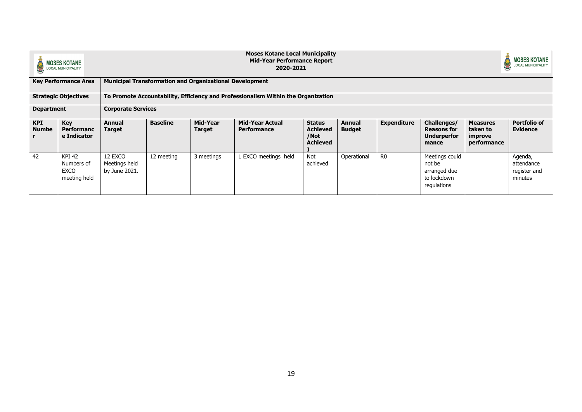|                            | <b>MOSES KOTANE</b><br><b>LOCAL MUNICIPALITY</b>           |                                                                                                                                                                                                                             |                                                                                                                                                                                                                                                                                                                                                                                     |                                                                | <b>Moses Kotane Local Municipality</b><br><b>Mid-Year Performance Report</b><br>2020-2021 |  |  |  |  |  | <b>MOSES KOTANE</b><br><b>LOCAL MUNICIPALITY</b> |  |  |  |
|----------------------------|------------------------------------------------------------|-----------------------------------------------------------------------------------------------------------------------------------------------------------------------------------------------------------------------------|-------------------------------------------------------------------------------------------------------------------------------------------------------------------------------------------------------------------------------------------------------------------------------------------------------------------------------------------------------------------------------------|----------------------------------------------------------------|-------------------------------------------------------------------------------------------|--|--|--|--|--|--------------------------------------------------|--|--|--|
|                            | <b>Key Performance Area</b>                                |                                                                                                                                                                                                                             |                                                                                                                                                                                                                                                                                                                                                                                     | <b>Municipal Transformation and Organizational Development</b> |                                                                                           |  |  |  |  |  |                                                  |  |  |  |
|                            | <b>Strategic Objectives</b>                                |                                                                                                                                                                                                                             |                                                                                                                                                                                                                                                                                                                                                                                     |                                                                | To Promote Accountability, Efficiency and Professionalism Within the Organization         |  |  |  |  |  |                                                  |  |  |  |
|                            | <b>Corporate Services</b><br><b>Department</b>             |                                                                                                                                                                                                                             |                                                                                                                                                                                                                                                                                                                                                                                     |                                                                |                                                                                           |  |  |  |  |  |                                                  |  |  |  |
| <b>KPI</b><br><b>Numbe</b> | Key<br><b>Performanc</b><br>e Indicator                    | Annual<br><b>Target</b>                                                                                                                                                                                                     | <b>Baseline</b><br><b>Expenditure</b><br>Challenges/<br><b>Portfolio of</b><br>Mid-Year<br><b>Mid-Year Actual</b><br><b>Measures</b><br><b>Status</b><br><b>Annual</b><br><b>Achieved</b><br><b>Budget</b><br><b>Reasons for</b><br><b>Evidence</b><br><b>Performance</b><br>taken to<br>Target<br>/Not<br><b>Underperfor</b><br>improve<br><b>Achieved</b><br>performance<br>mance |                                                                |                                                                                           |  |  |  |  |  |                                                  |  |  |  |
| 42                         | <b>KPI 42</b><br>Numbers of<br><b>EXCO</b><br>meeting held | 12 EXCO<br>Operational<br>Meetings could<br>12 meeting<br>3 meetings<br>1 EXCO meetings held<br>Not<br>R <sub>0</sub><br>Meetings held<br>achieved<br>not be<br>by June 2021.<br>arranged due<br>to lockdown<br>regulations |                                                                                                                                                                                                                                                                                                                                                                                     |                                                                |                                                                                           |  |  |  |  |  |                                                  |  |  |  |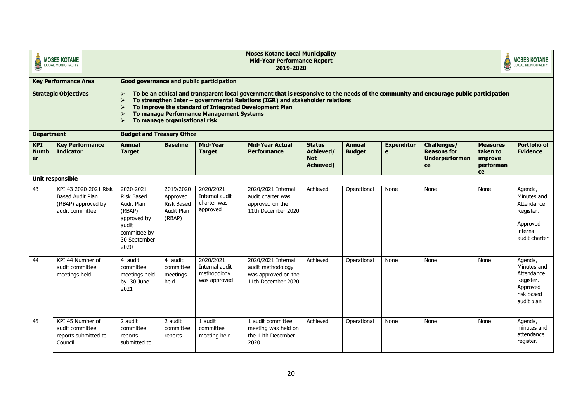|                                                      | <b>MOSES KOTANE</b><br><b>LOCAL MUNICIPALITY</b>                                   |                                                                                                                                                                                                                                                                                                                                                                                                                                      | <b>Moses Kotane Local Municipality</b><br><b>MOSES KOTANE</b><br><b>Mid-Year Performance Report</b><br><b>LOCAL MUNICIPALITY</b><br>2019-2020 |                                                            |                                                                                                                                                                                                                                                                                 |          |             |      |      |      |                                                                                            |
|------------------------------------------------------|------------------------------------------------------------------------------------|--------------------------------------------------------------------------------------------------------------------------------------------------------------------------------------------------------------------------------------------------------------------------------------------------------------------------------------------------------------------------------------------------------------------------------------|-----------------------------------------------------------------------------------------------------------------------------------------------|------------------------------------------------------------|---------------------------------------------------------------------------------------------------------------------------------------------------------------------------------------------------------------------------------------------------------------------------------|----------|-------------|------|------|------|--------------------------------------------------------------------------------------------|
|                                                      | <b>Key Performance Area</b>                                                        |                                                                                                                                                                                                                                                                                                                                                                                                                                      |                                                                                                                                               | Good governance and public participation                   |                                                                                                                                                                                                                                                                                 |          |             |      |      |      |                                                                                            |
|                                                      | <b>Strategic Objectives</b>                                                        | $\blacktriangleright$<br>$\triangleright$<br>$\blacktriangleright$<br>$\blacktriangleright$<br>$\blacktriangleright$                                                                                                                                                                                                                                                                                                                 | To manage organisational risk                                                                                                                 | To manage Performance Management Systems                   | To be an ethical and transparent local government that is responsive to the needs of the community and encourage public participation<br>To strengthen Inter - governmental Relations (IGR) and stakeholder relations<br>To improve the standard of Integrated Development Plan |          |             |      |      |      |                                                                                            |
| <b>Department</b><br><b>KPI</b><br><b>Numb</b><br>er | <b>Kev Performance</b><br><b>Indicator</b>                                         | <b>Budget and Treasury Office</b><br>Mid-Year<br><b>Baseline</b><br><b>Mid-Year Actual</b><br><b>Annual</b><br><b>Status</b><br>Annual<br><b>Expenditur</b><br>Challenges/<br><b>Measures</b><br>Achieved/<br>taken to<br><b>Target</b><br><b>Target</b><br><b>Performance</b><br><b>Budget</b><br>$\mathbf{e}$<br><b>Reasons for</b><br><b>Not</b><br><b>Underperforman</b><br>improve<br><b>Achieved)</b><br>performan<br>ce<br>ce |                                                                                                                                               |                                                            |                                                                                                                                                                                                                                                                                 |          |             |      |      |      | <b>Portfolio of</b><br><b>Evidence</b>                                                     |
|                                                      | Unit responsible                                                                   |                                                                                                                                                                                                                                                                                                                                                                                                                                      |                                                                                                                                               |                                                            |                                                                                                                                                                                                                                                                                 |          |             |      |      |      |                                                                                            |
| 43                                                   | KPI 43 2020-2021 Risk<br>Based Audit Plan<br>(RBAP) approved by<br>audit committee | 2020-2021<br><b>Risk Based</b><br>Audit Plan<br>(RBAP)<br>approved by<br>audit<br>committee by<br>30 September<br>2020                                                                                                                                                                                                                                                                                                               | 2019/2020<br>Approved<br><b>Risk Based</b><br>Audit Plan<br>(RBAP)                                                                            | 2020/2021<br>Internal audit<br>charter was<br>approved     | 2020/2021 Internal<br>audit charter was<br>approved on the<br>11th December 2020                                                                                                                                                                                                | Achieved | Operational | None | None | None | Agenda,<br>Minutes and<br>Attendance<br>Register.<br>Approved<br>internal<br>audit charter |
| 44                                                   | KPI 44 Number of<br>audit committee<br>meetings held                               | 4 audit<br>committee<br>meetings held<br>by 30 June<br>2021                                                                                                                                                                                                                                                                                                                                                                          | 4 audit<br>committee<br>meetings<br>held                                                                                                      | 2020/2021<br>Internal audit<br>methodology<br>was approved | 2020/2021 Internal<br>audit methodology<br>was approved on the<br>11th December 2020                                                                                                                                                                                            | Achieved | Operational | None | None | None | Agenda,<br>Minutes and<br>Attendance<br>Register.<br>Approved<br>risk based<br>audit plan  |
| 45                                                   | KPI 45 Number of<br>audit committee<br>reports submitted to<br>Council             | 2 audit<br>committee<br>reports<br>submitted to                                                                                                                                                                                                                                                                                                                                                                                      | 2 audit<br>committee<br>reports                                                                                                               | 1 audit<br>committee<br>meeting held                       | 1 audit committee<br>meeting was held on<br>the 11th December<br>2020                                                                                                                                                                                                           | Achieved | Operational | None | None | None | Agenda,<br>minutes and<br>attendance<br>register.                                          |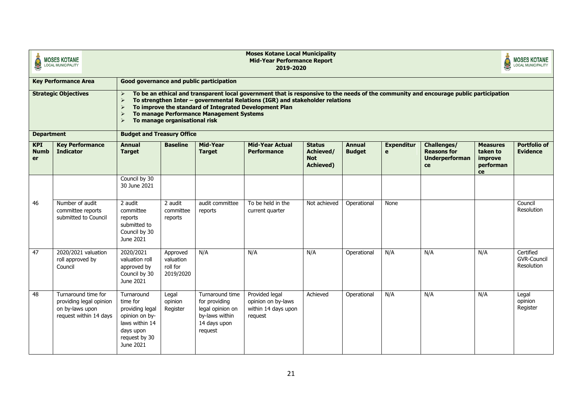|                                                      | <b>MOSES KOTANE</b><br><b>LOCAL MUNICIPALITY</b>                                            | <b>Moses Kotane Local Municipality</b><br><b>MOSES KOTANE</b><br><b>Mid-Year Performance Report</b><br><b>LOCAL MUNICIPALITY</b><br>2019-2020 |                                                |                                                                                                   |                                                                                                                                                                                                                                                                                 |                                                              |                                |                        |                                                                  |                                                           |                                               |  |  |
|------------------------------------------------------|---------------------------------------------------------------------------------------------|-----------------------------------------------------------------------------------------------------------------------------------------------|------------------------------------------------|---------------------------------------------------------------------------------------------------|---------------------------------------------------------------------------------------------------------------------------------------------------------------------------------------------------------------------------------------------------------------------------------|--------------------------------------------------------------|--------------------------------|------------------------|------------------------------------------------------------------|-----------------------------------------------------------|-----------------------------------------------|--|--|
|                                                      | <b>Key Performance Area</b>                                                                 |                                                                                                                                               |                                                | Good governance and public participation                                                          |                                                                                                                                                                                                                                                                                 |                                                              |                                |                        |                                                                  |                                                           |                                               |  |  |
|                                                      | <b>Strategic Objectives</b>                                                                 | $\blacktriangleright$<br>$\blacktriangleright$<br>$\blacktriangleright$<br>$\blacktriangleright$                                              | To manage organisational risk                  | To manage Performance Management Systems                                                          | To be an ethical and transparent local government that is responsive to the needs of the community and encourage public participation<br>To strengthen Inter - governmental Relations (IGR) and stakeholder relations<br>To improve the standard of Integrated Development Plan |                                                              |                                |                        |                                                                  |                                                           |                                               |  |  |
| <b>Department</b><br><b>KPI</b><br><b>Numb</b><br>er | <b>Key Performance</b><br><b>Indicator</b>                                                  | <b>Budget and Treasury Office</b><br><b>Annual</b><br><b>Target</b>                                                                           | <b>Baseline</b>                                | Mid-Year<br><b>Target</b>                                                                         | <b>Mid-Year Actual</b><br><b>Performance</b>                                                                                                                                                                                                                                    | <b>Status</b><br>Achieved/<br><b>Not</b><br><b>Achieved)</b> | <b>Annual</b><br><b>Budget</b> | <b>Expenditur</b><br>e | Challenges/<br><b>Reasons for</b><br><b>Underperforman</b><br>ce | <b>Measures</b><br>taken to<br>improve<br>performan<br>ce | <b>Portfolio of</b><br><b>Evidence</b>        |  |  |
|                                                      |                                                                                             | Council by 30<br>30 June 2021                                                                                                                 |                                                |                                                                                                   |                                                                                                                                                                                                                                                                                 |                                                              |                                |                        |                                                                  |                                                           |                                               |  |  |
| 46                                                   | Number of audit<br>committee reports<br>submitted to Council                                | 2 audit<br>committee<br>reports<br>submitted to<br>Council by 30<br>June 2021                                                                 | 2 audit<br>committee<br>reports                | audit committee<br>reports                                                                        | To be held in the<br>current quarter                                                                                                                                                                                                                                            | Not achieved                                                 | Operational                    | None                   |                                                                  |                                                           | Council<br><b>Resolution</b>                  |  |  |
| 47                                                   | 2020/2021 valuation<br>roll approved by<br>Council                                          | 2020/2021<br>valuation roll<br>approved by<br>Council by 30<br>June 2021                                                                      | Approved<br>valuation<br>roll for<br>2019/2020 | N/A                                                                                               | N/A                                                                                                                                                                                                                                                                             | N/A                                                          | Operational                    | N/A                    | N/A                                                              | N/A                                                       | Certified<br><b>GVR-Council</b><br>Resolution |  |  |
| 48                                                   | Turnaround time for<br>providing legal opinion<br>on by-laws upon<br>request within 14 days | Turnaround<br>time for<br>providing legal<br>opinion on by-<br>laws within 14<br>days upon<br>request by 30<br>June 2021                      | Legal<br>opinion<br>Register                   | Turnaround time<br>for providing<br>legal opinion on<br>by-laws within<br>14 days upon<br>request | Provided legal<br>opinion on by-laws<br>within 14 days upon<br>request                                                                                                                                                                                                          | Achieved                                                     | Operational                    | N/A                    | N/A                                                              | N/A                                                       | Legal<br>opinion<br>Register                  |  |  |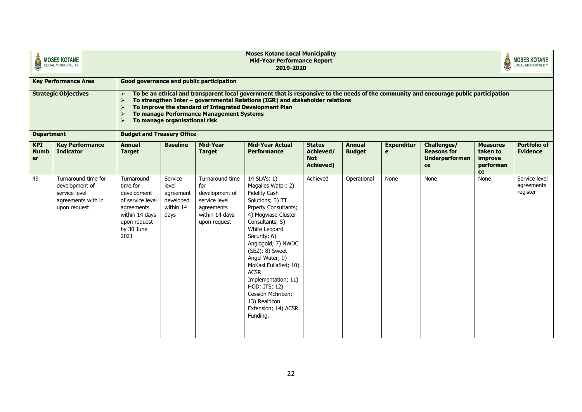| <b>Moses Kotane Local Municipality</b><br><b>MOSES KOTANE</b><br><b>Mid-Year Performance Report</b><br>S<br><b>LOCAL MUNICIPALITY</b><br>2019-2020 |                                                                                              |                                                                                                                                 |                                                                                                                                                                                                                                                                                                                                                                                                                                                               |                                                                                        |                                                                                                                                                                                                                                                                                                                                                                                       |  |  |  | <b>MOSES KOTANE</b><br>LOCAL MUNICIPALITY |      |                                         |
|----------------------------------------------------------------------------------------------------------------------------------------------------|----------------------------------------------------------------------------------------------|---------------------------------------------------------------------------------------------------------------------------------|---------------------------------------------------------------------------------------------------------------------------------------------------------------------------------------------------------------------------------------------------------------------------------------------------------------------------------------------------------------------------------------------------------------------------------------------------------------|----------------------------------------------------------------------------------------|---------------------------------------------------------------------------------------------------------------------------------------------------------------------------------------------------------------------------------------------------------------------------------------------------------------------------------------------------------------------------------------|--|--|--|-------------------------------------------|------|-----------------------------------------|
|                                                                                                                                                    | <b>Key Performance Area</b>                                                                  |                                                                                                                                 |                                                                                                                                                                                                                                                                                                                                                                                                                                                               | Good governance and public participation                                               |                                                                                                                                                                                                                                                                                                                                                                                       |  |  |  |                                           |      |                                         |
|                                                                                                                                                    | <b>Strategic Objectives</b>                                                                  | $\blacktriangleright$<br>$\blacktriangleright$<br>$\blacktriangleright$<br>$\blacktriangleright$                                | To manage organisational risk                                                                                                                                                                                                                                                                                                                                                                                                                                 | To manage Performance Management Systems                                               | To be an ethical and transparent local government that is responsive to the needs of the community and encourage public participation<br>To strengthen Inter - governmental Relations (IGR) and stakeholder relations<br>To improve the standard of Integrated Development Plan                                                                                                       |  |  |  |                                           |      |                                         |
| <b>Department</b>                                                                                                                                  |                                                                                              | <b>Budget and Treasury Office</b>                                                                                               |                                                                                                                                                                                                                                                                                                                                                                                                                                                               |                                                                                        |                                                                                                                                                                                                                                                                                                                                                                                       |  |  |  |                                           |      | <b>Portfolio of</b>                     |
| <b>KPI</b><br><b>Numb</b><br>er                                                                                                                    | <b>Key Performance</b><br><b>Indicator</b>                                                   | <b>Target</b>                                                                                                                   | Mid-Year<br><b>Baseline</b><br><b>Mid-Year Actual</b><br><b>Annual</b><br><b>Status</b><br><b>Expenditur</b><br>Challenges/<br><b>Annual</b><br><b>Measures</b><br><b>Target</b><br>Performance<br>Achieved/<br><b>Budget</b><br><b>Reasons for</b><br>taken to<br>e<br><b>Not</b><br><b>Underperforman</b><br>improve<br><b>Achieved</b> )<br>performan<br>ce<br>ce<br>Turnaround time<br>14 SLA's: 1)<br>Achieved<br>None<br>Service<br>Operational<br>None |                                                                                        |                                                                                                                                                                                                                                                                                                                                                                                       |  |  |  |                                           |      |                                         |
| 49                                                                                                                                                 | Turnaround time for<br>development of<br>service level<br>agreements with in<br>upon request | Turnaround<br>time for<br>development<br>of service level<br>agreements<br>within 14 days<br>upon request<br>by 30 June<br>2021 | level<br>agreement<br>developed<br>within 14<br>days                                                                                                                                                                                                                                                                                                                                                                                                          | for<br>development of<br>service level<br>agreements<br>within 14 days<br>upon request | Magalies Water; 2)<br><b>Fidelity Cash</b><br>Solutions; 3) TT<br>Prperty Consultants;<br>4) Mogwase Cluster<br>Consultants; 5)<br>White Leopard<br>Security; 6)<br>Anglogold; 7) NWDC<br>(SEZ); 8) Sweet<br>Angel Water; 9)<br>MoKasi Eullafied; 10)<br><b>ACSR</b><br>Implementation; 11)<br>HOD: ITS; 12)<br>Cession Mchriben;<br>13) Realticon<br>Extension; 14) ACSR<br>Funding. |  |  |  |                                           | None | Service level<br>agreements<br>register |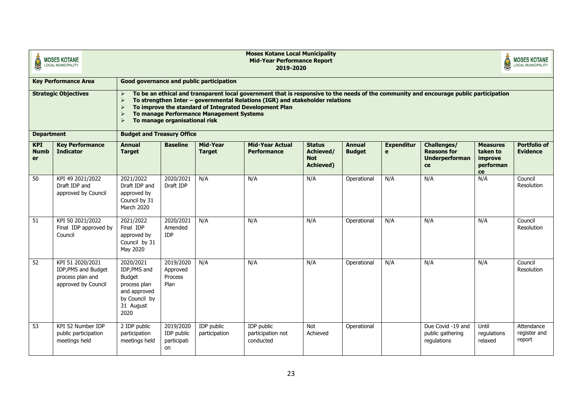|                                                      | <b>MOSES KOTANE</b><br><b>LOCAL MUNICIPALITY</b>                                   |                                                                                                                  | <b>Moses Kotane Local Municipality</b><br><b>MOSES KOTANE</b><br><b>Mid-Year Performance Report</b><br><b>LOCAL MUNICIPALITY</b><br>2019-2020                                                                                                                                                                                                                                                                                           |                                          |                                                                                                                                                                                                                                                                                 |                        |             |     |                                                      |                                 |                                      |  |  |  |
|------------------------------------------------------|------------------------------------------------------------------------------------|------------------------------------------------------------------------------------------------------------------|-----------------------------------------------------------------------------------------------------------------------------------------------------------------------------------------------------------------------------------------------------------------------------------------------------------------------------------------------------------------------------------------------------------------------------------------|------------------------------------------|---------------------------------------------------------------------------------------------------------------------------------------------------------------------------------------------------------------------------------------------------------------------------------|------------------------|-------------|-----|------------------------------------------------------|---------------------------------|--------------------------------------|--|--|--|
|                                                      | <b>Key Performance Area</b>                                                        |                                                                                                                  |                                                                                                                                                                                                                                                                                                                                                                                                                                         | Good governance and public participation |                                                                                                                                                                                                                                                                                 |                        |             |     |                                                      |                                 |                                      |  |  |  |
|                                                      | <b>Strategic Objectives</b>                                                        | $\blacktriangleright$<br>$\triangleright$<br>$\blacktriangleright$<br><b>Budget and Treasury Office</b>          | To manage organisational risk                                                                                                                                                                                                                                                                                                                                                                                                           | To manage Performance Management Systems | To be an ethical and transparent local government that is responsive to the needs of the community and encourage public participation<br>To strengthen Inter - governmental Relations (IGR) and stakeholder relations<br>To improve the standard of Integrated Development Plan |                        |             |     |                                                      |                                 |                                      |  |  |  |
| <b>Department</b><br><b>KPI</b><br><b>Numb</b><br>er | <b>Kev Performance</b><br><b>Indicator</b>                                         | <b>Annual</b><br><b>Target</b>                                                                                   | Mid-Year<br><b>Baseline</b><br><b>Mid-Year Actual</b><br><b>Challenges/</b><br><b>Measures</b><br><b>Status</b><br><b>Annual</b><br><b>Expenditur</b><br><b>Performance</b><br>Achieved/<br><b>Budget</b><br><b>Reasons for</b><br>taken to<br><b>Target</b><br>e<br><b>Not</b><br><b>Underperforman</b><br>improve<br><b>Achieved</b> )<br>performan<br>ce<br>ce<br>N/A<br>N/A<br>2020/2021<br>N/A<br>N/A<br>N/A<br>N/A<br>Operational |                                          |                                                                                                                                                                                                                                                                                 |                        |             |     |                                                      |                                 |                                      |  |  |  |
| 50                                                   | KPI 49 2021/2022<br>Draft IDP and<br>approved by Council                           | 2021/2022<br>Draft IDP and<br>approved by<br>Council by 31<br><b>March 2020</b>                                  | Draft IDP                                                                                                                                                                                                                                                                                                                                                                                                                               |                                          |                                                                                                                                                                                                                                                                                 |                        |             |     |                                                      |                                 | Council<br>Resolution                |  |  |  |
| 51                                                   | KPI 50 2021/2022<br>Final IDP approved by<br>Council                               | 2021/2022<br>Final IDP<br>approved by<br>Council by 31<br>May 2020                                               | 2020/2021<br>Amended<br><b>IDP</b>                                                                                                                                                                                                                                                                                                                                                                                                      | N/A                                      | N/A                                                                                                                                                                                                                                                                             | N/A                    | Operational | N/A | N/A                                                  | N/A                             | Council<br>Resolution                |  |  |  |
| 52                                                   | KPI 51 2020/2021<br>IDP, PMS and Budget<br>process plan and<br>approved by Council | 2020/2021<br>IDP, PMS and<br><b>Budget</b><br>process plan<br>and approved<br>by Council by<br>31 August<br>2020 | 2019/2020<br>Approved<br>Process<br>Plan                                                                                                                                                                                                                                                                                                                                                                                                | N/A                                      | N/A                                                                                                                                                                                                                                                                             | N/A                    | Operational | N/A | N/A                                                  | N/A                             | Council<br>Resolution                |  |  |  |
| 53                                                   | KPI 52 Number IDP<br>public participation<br>meetings held                         | 2 IDP public<br>participation<br>meetings held                                                                   | 2019/2020<br>IDP public<br>participati<br>on                                                                                                                                                                                                                                                                                                                                                                                            | <b>IDP</b> public<br>participation       | <b>IDP</b> public<br>participation not<br>conducted                                                                                                                                                                                                                             | <b>Not</b><br>Achieved | Operational |     | Due Covid -19 and<br>public gathering<br>regulations | Until<br>regulations<br>relaxed | Attendance<br>register and<br>report |  |  |  |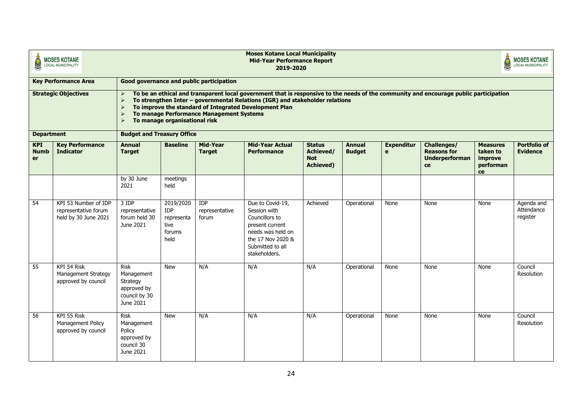|                                                      | <b>MOSES KOTANE</b><br><b>LOCAL MUNICIPALITY</b>                                                                                                                                                                                                                                                                                                                             | <b>Moses Kotane Local Municipality</b><br><b>MOSES KOTANE</b><br><b>Mid-Year Performance Report</b><br><b>LOCAL MUNICIPALITY</b><br>2019-2020 |                                                                 |                                          |                                                                                                                                                                                                                                                                                 |          |             |      |             |                                                           |                                        |  |  |  |
|------------------------------------------------------|------------------------------------------------------------------------------------------------------------------------------------------------------------------------------------------------------------------------------------------------------------------------------------------------------------------------------------------------------------------------------|-----------------------------------------------------------------------------------------------------------------------------------------------|-----------------------------------------------------------------|------------------------------------------|---------------------------------------------------------------------------------------------------------------------------------------------------------------------------------------------------------------------------------------------------------------------------------|----------|-------------|------|-------------|-----------------------------------------------------------|----------------------------------------|--|--|--|
|                                                      | <b>Key Performance Area</b>                                                                                                                                                                                                                                                                                                                                                  |                                                                                                                                               |                                                                 | Good governance and public participation |                                                                                                                                                                                                                                                                                 |          |             |      |             |                                                           |                                        |  |  |  |
|                                                      | <b>Strategic Objectives</b>                                                                                                                                                                                                                                                                                                                                                  | $\blacktriangleright$<br>$\blacktriangleright$<br>$\blacktriangleright$<br>$\blacktriangleright$<br><b>Budget and Treasury Office</b>         | To manage organisational risk                                   | To manage Performance Management Systems | To be an ethical and transparent local government that is responsive to the needs of the community and encourage public participation<br>To strengthen Inter - governmental Relations (IGR) and stakeholder relations<br>To improve the standard of Integrated Development Plan |          |             |      |             |                                                           |                                        |  |  |  |
| <b>Department</b><br><b>KPI</b><br><b>Numb</b><br>er | Mid-Year<br><b>Key Performance</b><br><b>Baseline</b><br><b>Mid-Year Actual</b><br>Challenges/<br><b>Annual</b><br><b>Status</b><br><b>Annual</b><br><b>Expenditur</b><br><b>Performance</b><br>Achieved/<br><b>Reasons for</b><br><b>Indicator</b><br><b>Target</b><br><b>Target</b><br><b>Budget</b><br>e<br><b>Underperforman</b><br><b>Not</b><br><b>Achieved)</b><br>ce |                                                                                                                                               |                                                                 |                                          |                                                                                                                                                                                                                                                                                 |          |             |      |             | <b>Measures</b><br>taken to<br>improve<br>performan<br>ce | <b>Portfolio of</b><br><b>Evidence</b> |  |  |  |
|                                                      |                                                                                                                                                                                                                                                                                                                                                                              | by 30 June<br>2021                                                                                                                            | meetings<br>held                                                |                                          |                                                                                                                                                                                                                                                                                 |          |             |      |             |                                                           |                                        |  |  |  |
| 54                                                   | KPI 53 Number of IDP<br>representative forum<br>held by 30 June 2021                                                                                                                                                                                                                                                                                                         | 3 IDP<br>representative<br>forum held 30<br>June 2021                                                                                         | 2019/2020<br><b>IDP</b><br>representa<br>tive<br>forums<br>held | <b>IDP</b><br>representative<br>forum    | Due to Covid-19,<br>Session with<br>Councillors to<br>present current<br>needs was held on<br>the 17 Nov 2020 &<br>Submitted to all<br>stakeholders.                                                                                                                            | Achieved | Operational | None | None        | None                                                      | Agenda and<br>Attendance<br>register   |  |  |  |
| 55                                                   | KPI 54 Risk<br>Management Strategy<br>approved by council                                                                                                                                                                                                                                                                                                                    | <b>Risk</b><br>Management<br>Strategy<br>approved by<br>council by 30<br>June 2021                                                            | <b>New</b>                                                      | N/A                                      | N/A                                                                                                                                                                                                                                                                             | N/A      | Operational | None | None        | None                                                      | Council<br><b>Resolution</b>           |  |  |  |
| 56                                                   | KPI 55 Risk<br>Management Policy<br>approved by council                                                                                                                                                                                                                                                                                                                      | <b>Risk</b><br>Management<br>Policy<br>approved by<br>council 30<br>June 2021                                                                 | <b>New</b>                                                      | N/A                                      | N/A                                                                                                                                                                                                                                                                             | N/A      | Operational | None | <b>None</b> | None                                                      | Council<br><b>Resolution</b>           |  |  |  |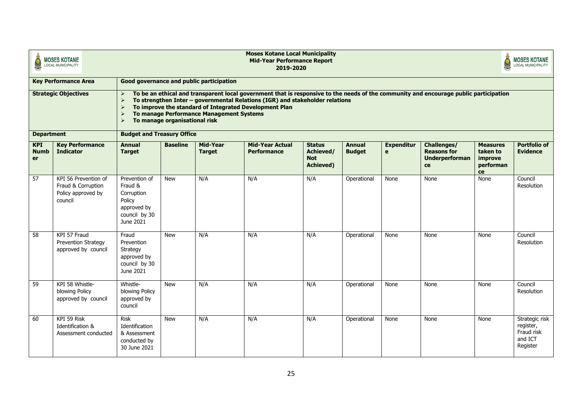|                                 | <b>MOSES KOTANE</b><br><b>LOCAL MUNICIPALITY</b>                            | <b>Moses Kotane Local Municipality</b><br><b>MOSES KOTANE</b><br><b>Mid-Year Performance Report</b><br><b>LOCAL MUNICIPALITY</b><br>2019-2020                                                                                                                                                                                                                                                                                                                                                                                     |                               |                                          |                                                                                                                                                                                                                                                                                 |     |             |      |      |      |                                                                  |  |
|---------------------------------|-----------------------------------------------------------------------------|-----------------------------------------------------------------------------------------------------------------------------------------------------------------------------------------------------------------------------------------------------------------------------------------------------------------------------------------------------------------------------------------------------------------------------------------------------------------------------------------------------------------------------------|-------------------------------|------------------------------------------|---------------------------------------------------------------------------------------------------------------------------------------------------------------------------------------------------------------------------------------------------------------------------------|-----|-------------|------|------|------|------------------------------------------------------------------|--|
|                                 | <b>Key Performance Area</b>                                                 |                                                                                                                                                                                                                                                                                                                                                                                                                                                                                                                                   |                               | Good governance and public participation |                                                                                                                                                                                                                                                                                 |     |             |      |      |      |                                                                  |  |
| <b>Department</b>               | <b>Strategic Objectives</b>                                                 | $\triangleright$<br>$\blacktriangleright$<br>$\blacktriangleright$<br>$\triangleright$<br>$\blacktriangleright$<br><b>Budget and Treasury Office</b>                                                                                                                                                                                                                                                                                                                                                                              | To manage organisational risk | To manage Performance Management Systems | To be an ethical and transparent local government that is responsive to the needs of the community and encourage public participation<br>To strengthen Inter - governmental Relations (IGR) and stakeholder relations<br>To improve the standard of Integrated Development Plan |     |             |      |      |      |                                                                  |  |
| <b>KPI</b><br><b>Numb</b><br>er | <b>Key Performance</b><br><b>Indicator</b>                                  | <b>Baseline</b><br>Mid-Year<br><b>Mid-Year Actual</b><br><b>Portfolio of</b><br><b>Annual</b><br><b>Status</b><br><b>Annual</b><br>Challenges/<br><b>Measures</b><br><b>Expenditur</b><br>Achieved/<br><b>Performance</b><br><b>Budget</b><br><b>Reasons for</b><br>taken to<br><b>Evidence</b><br><b>Target</b><br><b>Target</b><br>e<br><b>Not</b><br><b>Underperforman</b><br>improve<br><b>Achieved</b> )<br>performan<br>ce<br>ce<br>Prevention of<br>N/A<br>N/A<br>N/A<br>None<br>None<br><b>New</b><br>Operational<br>None |                               |                                          |                                                                                                                                                                                                                                                                                 |     |             |      |      |      |                                                                  |  |
| 57                              | KPI 56 Prevention of<br>Fraud & Corruption<br>Policy approved by<br>council | Fraud &<br>Corruption<br>Policy<br>approved by<br>council by 30<br>June 2021                                                                                                                                                                                                                                                                                                                                                                                                                                                      |                               |                                          |                                                                                                                                                                                                                                                                                 |     |             |      |      |      | Council<br>Resolution                                            |  |
| 58                              | KPI 57 Fraud<br>Prevention Strategy<br>approved by council                  | Fraud<br>Prevention<br>Strategy<br>approved by<br>council by 30<br>June 2021                                                                                                                                                                                                                                                                                                                                                                                                                                                      | <b>New</b>                    | N/A                                      | N/A                                                                                                                                                                                                                                                                             | N/A | Operational | None | None | None | Council<br>Resolution                                            |  |
| 59                              | KPI 58 Whistle-<br>blowing Policy<br>approved by council                    | Whistle-<br>blowing Policy<br>approved by<br>council                                                                                                                                                                                                                                                                                                                                                                                                                                                                              | <b>New</b>                    | N/A                                      | N/A                                                                                                                                                                                                                                                                             | N/A | Operational | None | None | None | Council<br><b>Resolution</b>                                     |  |
| 60                              | KPI 59 Risk<br>Identification &<br>Assessment conducted                     | <b>Risk</b><br>Identification<br>& Assessment<br>conducted by<br>30 June 2021                                                                                                                                                                                                                                                                                                                                                                                                                                                     | <b>New</b>                    | N/A                                      | N/A                                                                                                                                                                                                                                                                             | N/A | Operational | None | None | None | Strategic risk<br>register,<br>Fraud risk<br>and ICT<br>Register |  |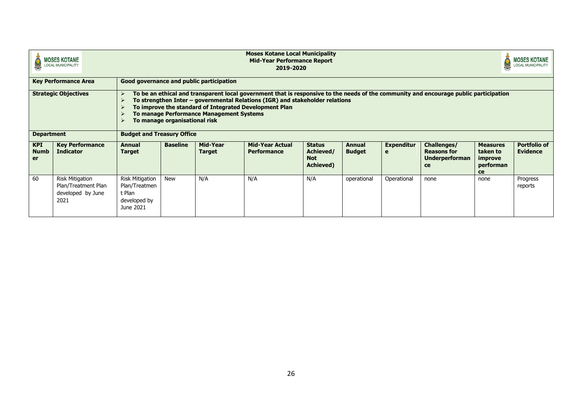| <b>Moses Kotane Local Municipality</b><br><b>MOSES KOTANE</b><br><b>Mid-Year Performance Report</b><br><b>LOCAL MUNICIPALITY</b><br>2019-2020 |                                                                            |                                                                                |                               |                                          |                                                                                                                                                                                                                                                                                 |                                                               |                                |                        |                                                                  | <b>MOSES KOTANE</b><br><b>LOCAL MUNICIPALITY</b>          |                                        |  |
|-----------------------------------------------------------------------------------------------------------------------------------------------|----------------------------------------------------------------------------|--------------------------------------------------------------------------------|-------------------------------|------------------------------------------|---------------------------------------------------------------------------------------------------------------------------------------------------------------------------------------------------------------------------------------------------------------------------------|---------------------------------------------------------------|--------------------------------|------------------------|------------------------------------------------------------------|-----------------------------------------------------------|----------------------------------------|--|
|                                                                                                                                               | <b>Key Performance Area</b>                                                | Good governance and public participation                                       |                               |                                          |                                                                                                                                                                                                                                                                                 |                                                               |                                |                        |                                                                  |                                                           |                                        |  |
|                                                                                                                                               | <b>Strategic Objectives</b>                                                |                                                                                | To manage organisational risk | To manage Performance Management Systems | To be an ethical and transparent local government that is responsive to the needs of the community and encourage public participation<br>To strengthen Inter - governmental Relations (IGR) and stakeholder relations<br>To improve the standard of Integrated Development Plan |                                                               |                                |                        |                                                                  |                                                           |                                        |  |
| <b>Department</b>                                                                                                                             |                                                                            | <b>Budget and Treasury Office</b>                                              |                               |                                          |                                                                                                                                                                                                                                                                                 |                                                               |                                |                        |                                                                  |                                                           |                                        |  |
| <b>KPI</b><br><b>Numb</b><br><b>er</b>                                                                                                        | <b>Key Performance</b><br><b>Indicator</b>                                 | <b>Annual</b><br><b>Target</b>                                                 | <b>Baseline</b>               | Mid-Year<br><b>Target</b>                | <b>Mid-Year Actual</b><br><b>Performance</b>                                                                                                                                                                                                                                    | <b>Status</b><br>Achieved/<br><b>Not</b><br><b>Achieved</b> ) | <b>Annual</b><br><b>Budget</b> | <b>Expenditur</b><br>e | Challenges/<br><b>Reasons for</b><br><b>Underperforman</b><br>ce | <b>Measures</b><br>taken to<br>improve<br>performan<br>ce | <b>Portfolio of</b><br><b>Evidence</b> |  |
| 60                                                                                                                                            | <b>Risk Mitigation</b><br>Plan/Treatment Plan<br>developed by June<br>2021 | <b>Risk Mitigation</b><br>Plan/Treatmen<br>t Plan<br>developed by<br>June 2021 | <b>New</b>                    | N/A                                      | N/A                                                                                                                                                                                                                                                                             | N/A                                                           | operational                    | Operational            | none                                                             | none                                                      | Progress<br>reports                    |  |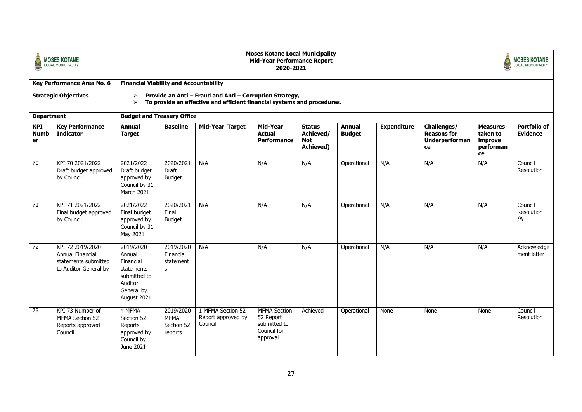|                                 | <b>MOSES KOTANE</b><br>LOCAL MUNICIPALITY                                                    | <b>Moses Kotane Local Municipality</b><br><b>MOSES KOTANE</b><br><b>Mid-Year Performance Report</b><br><b>LOCAL MUNICIPALITY</b><br>2020-2021                    |                                                   |                                                    |                                                                             |                                                       |                                |                    |                                                                  |                                                           |                                 |  |
|---------------------------------|----------------------------------------------------------------------------------------------|------------------------------------------------------------------------------------------------------------------------------------------------------------------|---------------------------------------------------|----------------------------------------------------|-----------------------------------------------------------------------------|-------------------------------------------------------|--------------------------------|--------------------|------------------------------------------------------------------|-----------------------------------------------------------|---------------------------------|--|
|                                 | Key Performance Area No. 6                                                                   | <b>Financial Viability and Accountability</b>                                                                                                                    |                                                   |                                                    |                                                                             |                                                       |                                |                    |                                                                  |                                                           |                                 |  |
|                                 | <b>Strategic Objectives</b>                                                                  | Provide an Anti - Fraud and Anti - Corruption Strategy,<br>≻<br>To provide an effective and efficient financial systems and procedures.<br>$\blacktriangleright$ |                                                   |                                                    |                                                                             |                                                       |                                |                    |                                                                  |                                                           |                                 |  |
| <b>Department</b>               |                                                                                              | <b>Budget and Treasury Office</b>                                                                                                                                |                                                   |                                                    |                                                                             |                                                       |                                |                    |                                                                  |                                                           |                                 |  |
| <b>KPI</b><br><b>Numb</b><br>er | <b>Key Performance</b><br><b>Indicator</b>                                                   | <b>Annual</b><br><b>Target</b>                                                                                                                                   | <b>Baseline</b>                                   | <b>Mid-Year Target</b>                             | Mid-Year<br><b>Actual</b><br>Performance                                    | <b>Status</b><br>Achieved/<br><b>Not</b><br>Achieved) | <b>Annual</b><br><b>Budget</b> | <b>Expenditure</b> | Challenges/<br><b>Reasons for</b><br><b>Underperforman</b><br>ce | <b>Measures</b><br>taken to<br>improve<br>performan<br>ce | Portfolio of<br><b>Evidence</b> |  |
| 70                              | KPI 70 2021/2022<br>Draft budget approved<br>by Council                                      | 2021/2022<br>Draft budget<br>approved by<br>Council by 31<br>March 2021                                                                                          | 2020/2021<br>Draft<br><b>Budget</b>               | N/A                                                | N/A                                                                         | N/A                                                   | Operational                    | N/A                | N/A                                                              | N/A                                                       | Council<br>Resolution           |  |
| 71                              | KPI 71 2021/2022<br>Final budget approved<br>by Council                                      | 2021/2022<br>Final budget<br>approved by<br>Council by 31<br>May 2021                                                                                            | 2020/2021<br>Final<br><b>Budget</b>               | N/A                                                | N/A                                                                         | N/A                                                   | Operational                    | N/A                | N/A                                                              | N/A                                                       | Council<br>Resolution<br>/A     |  |
| 72                              | KPI 72 2019/2020<br><b>Annual Financial</b><br>statements submitted<br>to Auditor General by | 2019/2020<br>Annual<br>Financial<br>statements<br>submitted to<br>Auditor<br>General by<br>August 2021                                                           | 2019/2020<br>Financial<br>statement<br>s          | N/A                                                | N/A                                                                         | N/A                                                   | Operational                    | N/A                | N/A                                                              | N/A                                                       | Acknowledge<br>ment letter      |  |
| $\overline{73}$                 | KPI 73 Number of<br>MFMA Section 52<br>Reports approved<br>Council                           | 4 MFMA<br>Section 52<br>Reports<br>approved by<br>Council by<br>June 2021                                                                                        | 2019/2020<br><b>MFMA</b><br>Section 52<br>reports | 1 MFMA Section 52<br>Report approved by<br>Council | <b>MFMA Section</b><br>52 Report<br>submitted to<br>Council for<br>approval | Achieved                                              | Operational                    | None               | None                                                             | None                                                      | Council<br>Resolution           |  |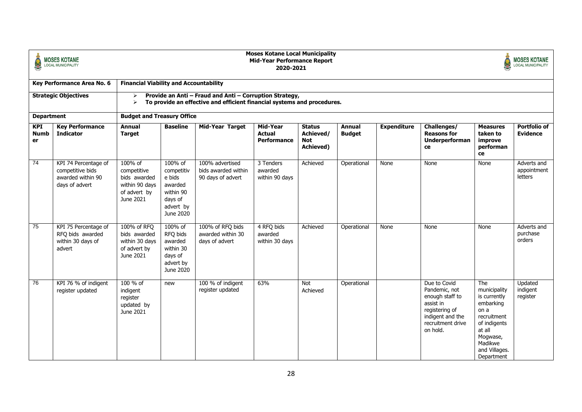|                                 | <b>MOSES KOTANE</b><br><b>LOCAL MUNICIPALITY</b>                                |                                                                                       | <b>Moses Kotane Local Municipality</b><br><b>MOSES KOTANE</b><br><b>Mid-Year Performance Report</b><br><b>LOCAL MUNICIPALITY</b><br>2020-2021 |                                                             |                                          |                                                       |                                |                    |                                                                                                                                      |                                                                                                                                                         |                                        |  |  |
|---------------------------------|---------------------------------------------------------------------------------|---------------------------------------------------------------------------------------|-----------------------------------------------------------------------------------------------------------------------------------------------|-------------------------------------------------------------|------------------------------------------|-------------------------------------------------------|--------------------------------|--------------------|--------------------------------------------------------------------------------------------------------------------------------------|---------------------------------------------------------------------------------------------------------------------------------------------------------|----------------------------------------|--|--|
|                                 | Key Performance Area No. 6                                                      | <b>Financial Viability and Accountability</b>                                         |                                                                                                                                               |                                                             |                                          |                                                       |                                |                    |                                                                                                                                      |                                                                                                                                                         |                                        |  |  |
|                                 | <b>Strategic Objectives</b>                                                     | ➤<br>$\blacktriangleright$                                                            | Provide an Anti - Fraud and Anti - Corruption Strategy,<br>To provide an effective and efficient financial systems and procedures.            |                                                             |                                          |                                                       |                                |                    |                                                                                                                                      |                                                                                                                                                         |                                        |  |  |
| <b>Department</b>               |                                                                                 | <b>Budget and Treasury Office</b>                                                     |                                                                                                                                               |                                                             |                                          |                                                       |                                |                    |                                                                                                                                      |                                                                                                                                                         |                                        |  |  |
| <b>KPI</b><br><b>Numb</b><br>er | <b>Key Performance</b><br><b>Indicator</b>                                      | <b>Annual</b><br><b>Target</b>                                                        | <b>Baseline</b>                                                                                                                               | <b>Mid-Year Target</b>                                      | Mid-Year<br><b>Actual</b><br>Performance | <b>Status</b><br>Achieved/<br><b>Not</b><br>Achieved) | <b>Annual</b><br><b>Budget</b> | <b>Expenditure</b> | Challenges/<br><b>Reasons for</b><br>Underperforman<br>ce                                                                            | <b>Measures</b><br>taken to<br>improve<br>performan<br>ce                                                                                               | <b>Portfolio of</b><br><b>Evidence</b> |  |  |
| $\overline{74}$                 | KPI 74 Percentage of<br>competitive bids<br>awarded within 90<br>days of advert | 100% of<br>competitive<br>bids awarded<br>within 90 days<br>of advert by<br>June 2021 | 100% of<br>competitiv<br>e bids<br>awarded<br>within 90<br>days of<br>advert by<br>June 2020                                                  | 100% advertised<br>bids awarded within<br>90 days of advert | 3 Tenders<br>awarded<br>within 90 days   | Achieved                                              | Operational                    | None               | None                                                                                                                                 | None                                                                                                                                                    | Adverts and<br>appointment<br>letters  |  |  |
| $\overline{75}$                 | KPI 75 Percentage of<br>RFQ bids awarded<br>within 30 days of<br>advert         | 100% of RFQ<br>bids awarded<br>within 30 days<br>of advert by<br>June 2021            | 100% of<br>RFQ bids<br>awarded<br>within 30<br>days of<br>advert by<br>June 2020                                                              | 100% of RFQ bids<br>awarded within 30<br>days of advert     | 4 RFQ bids<br>awarded<br>within 30 days  | Achieved                                              | Operational                    | None               | None                                                                                                                                 | None                                                                                                                                                    | Adverts and<br>purchase<br>orders      |  |  |
| 76                              | KPI 76 % of indigent<br>register updated                                        | 100 % of<br>indigent<br>register<br>updated by<br>June 2021                           | new                                                                                                                                           | 100 % of indigent<br>register updated                       | 63%                                      | Not<br>Achieved                                       | Operational                    |                    | Due to Covid<br>Pandemic, not<br>enough staff to<br>assist in<br>registering of<br>indigent and the<br>recruitment drive<br>on hold. | The<br>municipality<br>is currently<br>embarking<br>on a<br>recruitment<br>of indigents<br>at all<br>Mogwase,<br>Madikwe<br>and Villages.<br>Department | Updated<br>indigent<br>register        |  |  |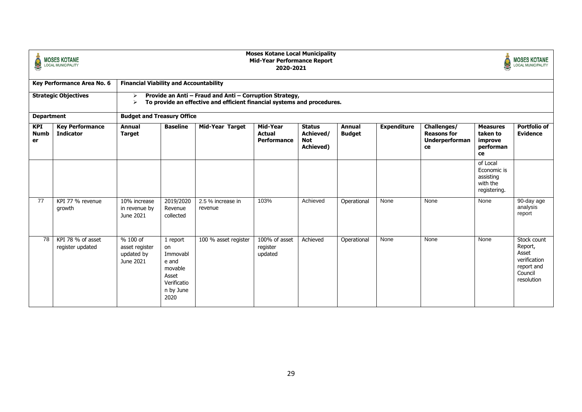| S                           | <b>MOSES KOTANE</b><br><b>LOCAL MUNICIPALITY</b> | <b>Moses Kotane Local Municipality</b><br><b>MOSES KOTANE</b><br><b>Mid-Year Performance Report</b><br>S<br><b>LOCAL MUNICIPALITY</b><br>2020-2021 |                                                                                             |                              |                                      |                                                               |                                |                    |                                                                  |                                                                  |                                                                                        |  |
|-----------------------------|--------------------------------------------------|----------------------------------------------------------------------------------------------------------------------------------------------------|---------------------------------------------------------------------------------------------|------------------------------|--------------------------------------|---------------------------------------------------------------|--------------------------------|--------------------|------------------------------------------------------------------|------------------------------------------------------------------|----------------------------------------------------------------------------------------|--|
|                             | Key Performance Area No. 6                       | <b>Financial Viability and Accountability</b>                                                                                                      |                                                                                             |                              |                                      |                                                               |                                |                    |                                                                  |                                                                  |                                                                                        |  |
| <b>Strategic Objectives</b> |                                                  | Provide an Anti - Fraud and Anti - Corruption Strategy,<br>⋗<br>To provide an effective and efficient financial systems and procedures.<br>⋗       |                                                                                             |                              |                                      |                                                               |                                |                    |                                                                  |                                                                  |                                                                                        |  |
| <b>Department</b>           |                                                  | <b>Budget and Treasury Office</b>                                                                                                                  |                                                                                             |                              |                                      |                                                               |                                |                    |                                                                  |                                                                  |                                                                                        |  |
| KPI<br><b>Numb</b><br>er    | <b>Key Performance</b><br><b>Indicator</b>       | <b>Annual</b><br><b>Target</b>                                                                                                                     | <b>Baseline</b>                                                                             | Mid-Year Target              | Mid-Year<br>Actual<br>Performance    | <b>Status</b><br>Achieved/<br><b>Not</b><br><b>Achieved</b> ) | <b>Annual</b><br><b>Budget</b> | <b>Expenditure</b> | Challenges/<br><b>Reasons for</b><br><b>Underperforman</b><br>ce | <b>Measures</b><br>taken to<br>improve<br>performan<br>ce        | Portfolio of<br><b>Evidence</b>                                                        |  |
|                             |                                                  |                                                                                                                                                    |                                                                                             |                              |                                      |                                                               |                                |                    |                                                                  | of Local<br>Economic is<br>assisting<br>with the<br>registering. |                                                                                        |  |
| 77                          | KPI 77 % revenue<br>growth                       | 10% increase<br>in revenue by<br>June 2021                                                                                                         | 2019/2020<br>Revenue<br>collected                                                           | 2.5 % increase in<br>revenue | 103%                                 | Achieved                                                      | Operational                    | None               | None                                                             | None                                                             | 90-day age<br>analysis<br>report                                                       |  |
| 78                          | KPI 78 % of asset<br>register updated            | % 100 of<br>asset register<br>updated by<br>June 2021                                                                                              | 1 report<br>on<br>Immovabl<br>e and<br>movable<br>Asset<br>Verificatio<br>n by June<br>2020 | 100 % asset register         | 100% of asset<br>register<br>updated | Achieved                                                      | Operational                    | None               | None                                                             | None                                                             | Stock count<br>Report,<br>Asset<br>verification<br>report and<br>Council<br>resolution |  |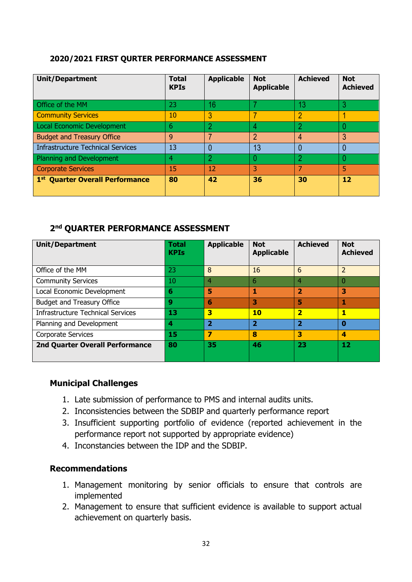#### **2020/2021 FIRST QURTER PERFORMANCE ASSESSMENT**

| <b>Unit/Department</b>                      | <b>Total</b><br><b>KPIs</b> | <b>Applicable</b> | <b>Not</b><br><b>Applicable</b> | <b>Achieved</b> | <b>Not</b><br><b>Achieved</b> |
|---------------------------------------------|-----------------------------|-------------------|---------------------------------|-----------------|-------------------------------|
| Office of the MM                            | 23                          | 16                |                                 | 13              |                               |
| <b>Community Services</b>                   | 10                          | 3                 |                                 | $\overline{2}$  |                               |
| Local Economic Development                  | 6                           | 2                 | 4                               |                 |                               |
| <b>Budget and Treasury Office</b>           | 9                           | 7                 | 2                               | 4               | 3                             |
| Infrastructure Technical Services           | 13                          | 0                 | 13                              | 0               |                               |
| Planning and Development                    | 4                           | 2                 |                                 | 2               |                               |
| <b>Corporate Services</b>                   | 15                          | 12                | 3                               | ᄀ               | 5                             |
| 1 <sup>st</sup> Quarter Overall Performance | 80                          | 42                | 36                              | 30              | 12                            |

#### **2 nd QUARTER PERFORMANCE ASSESSMENT**

| <b>Unit/Department</b>                   | <b>Total</b><br><b>KPIs</b> | <b>Applicable</b>       | <b>Not</b><br><b>Applicable</b> | <b>Achieved</b>         | <b>Not</b><br><b>Achieved</b> |
|------------------------------------------|-----------------------------|-------------------------|---------------------------------|-------------------------|-------------------------------|
|                                          |                             |                         |                                 |                         |                               |
| Office of the MM                         | 23                          | 8                       | 16                              | 6                       | 2                             |
| <b>Community Services</b>                | 10                          | 4                       | 6                               | 4                       | O                             |
| Local Economic Development               | 6                           | 5                       | 1                               | $\overline{2}$          | 3                             |
| Budget and Treasury Office               | 9                           | 6                       | 3                               | 5                       |                               |
| <b>Infrastructure Technical Services</b> | 13                          | 3                       | <b>10</b>                       | $\overline{\mathbf{2}}$ |                               |
| Planning and Development                 | 4                           | $\overline{\mathbf{2}}$ | $\overline{2}$                  | $\overline{\mathbf{2}}$ | $\bf{0}$                      |
| Corporate Services                       | 15                          | 7                       | 8                               | 3                       | 4                             |
| <b>2nd Quarter Overall Performance</b>   | 80                          | 35                      | 46                              | 23                      | 12                            |

## **Municipal Challenges**

- 1. Late submission of performance to PMS and internal audits units.
- 2. Inconsistencies between the SDBIP and quarterly performance report
- 3. Insufficient supporting portfolio of evidence (reported achievement in the performance report not supported by appropriate evidence)
- 4. Inconstancies between the IDP and the SDBIP.

#### **Recommendations**

- 1. Management monitoring by senior officials to ensure that controls are implemented
- 2. Management to ensure that sufficient evidence is available to support actual achievement on quarterly basis.